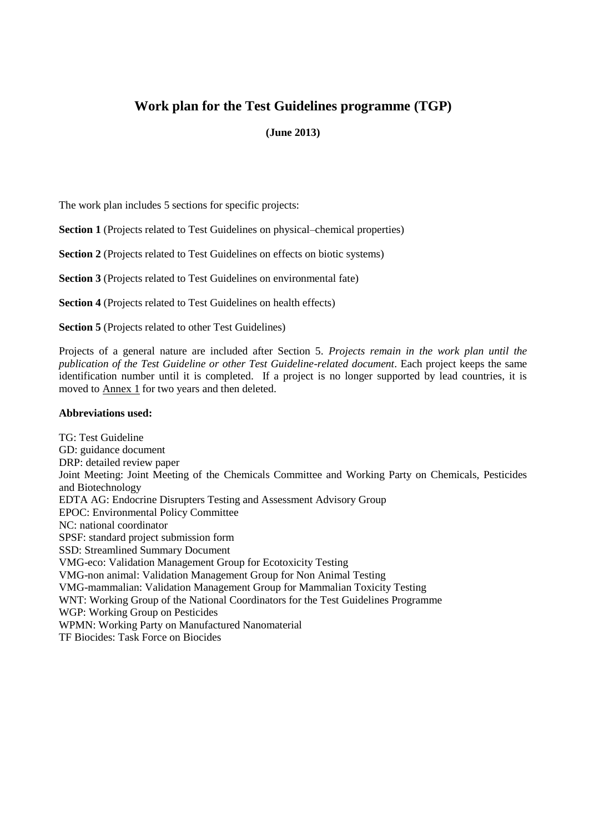## **Work plan for the Test Guidelines programme (TGP)**

#### **(June 2013)**

The work plan includes 5 sections for specific projects:

**Section 1** (Projects related to Test Guidelines on physical–chemical properties)

**Section 2** (Projects related to Test Guidelines on effects on biotic systems)

**Section 3** (Projects related to Test Guidelines on environmental fate)

**Section 4** (Projects related to Test Guidelines on health effects)

**Section 5** (Projects related to other Test Guidelines)

Projects of a general nature are included after Section 5. *Projects remain in the work plan until the publication of the Test Guideline or other Test Guideline-related document*. Each project keeps the same identification number until it is completed. If a project is no longer supported by lead countries, it is moved to **Annex 1** for two years and then deleted.

#### **Abbreviations used:**

TG: Test Guideline GD: guidance document DRP: detailed review paper Joint Meeting: Joint Meeting of the Chemicals Committee and Working Party on Chemicals, Pesticides and Biotechnology EDTA AG: Endocrine Disrupters Testing and Assessment Advisory Group EPOC: Environmental Policy Committee NC: national coordinator SPSF: standard project submission form SSD: Streamlined Summary Document VMG-eco: Validation Management Group for Ecotoxicity Testing VMG-non animal: Validation Management Group for Non Animal Testing VMG-mammalian: Validation Management Group for Mammalian Toxicity Testing WNT: Working Group of the National Coordinators for the Test Guidelines Programme WGP: Working Group on Pesticides WPMN: Working Party on Manufactured Nanomaterial TF Biocides: Task Force on Biocides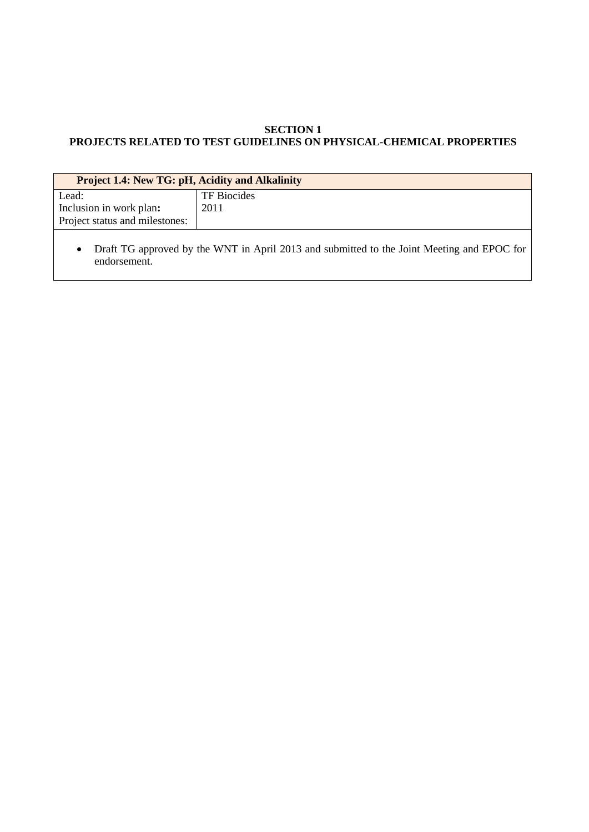## **SECTION 1 PROJECTS RELATED TO TEST GUIDELINES ON PHYSICAL-CHEMICAL PROPERTIES**

| <b>Project 1.4: New TG: pH, Acidity and Alkalinity</b>                                                                  |                    |
|-------------------------------------------------------------------------------------------------------------------------|--------------------|
| Lead:                                                                                                                   | <b>TF</b> Biocides |
| Inclusion in work plan:                                                                                                 | 2011               |
| Project status and milestones:                                                                                          |                    |
| Draft TG approved by the WNT in April 2013 and submitted to the Joint Meeting and EPOC for<br>$\bullet$<br>endorsement. |                    |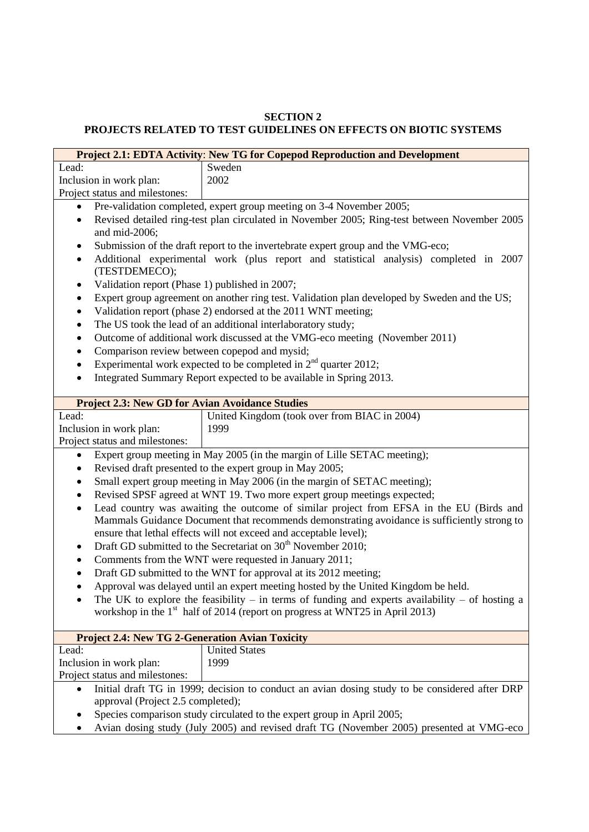#### **SECTION 2 PROJECTS RELATED TO TEST GUIDELINES ON EFFECTS ON BIOTIC SYSTEMS**

|                                                                                                                                                                                                              | Project 2.1: EDTA Activity: New TG for Copepod Reproduction and Development                     |
|--------------------------------------------------------------------------------------------------------------------------------------------------------------------------------------------------------------|-------------------------------------------------------------------------------------------------|
| Lead:                                                                                                                                                                                                        | Sweden                                                                                          |
| Inclusion in work plan:                                                                                                                                                                                      | 2002                                                                                            |
| Project status and milestones:                                                                                                                                                                               |                                                                                                 |
|                                                                                                                                                                                                              | Pre-validation completed, expert group meeting on 3-4 November 2005;                            |
| $\bullet$                                                                                                                                                                                                    | Revised detailed ring-test plan circulated in November 2005; Ring-test between November 2005    |
| and mid-2006;                                                                                                                                                                                                |                                                                                                 |
| Submission of the draft report to the invertebrate expert group and the VMG-eco;<br>٠<br>Additional experimental work (plus report and statistical analysis) completed in 2007<br>$\bullet$<br>(TESTDEMECO); |                                                                                                 |
| Validation report (Phase 1) published in 2007;<br>$\bullet$                                                                                                                                                  |                                                                                                 |
| ٠                                                                                                                                                                                                            | Expert group agreement on another ring test. Validation plan developed by Sweden and the US;    |
| $\bullet$                                                                                                                                                                                                    | Validation report (phase 2) endorsed at the 2011 WNT meeting;                                   |
| $\bullet$                                                                                                                                                                                                    | The US took the lead of an additional interlaboratory study;                                    |
| $\bullet$                                                                                                                                                                                                    | Outcome of additional work discussed at the VMG-eco meeting (November 2011)                     |
| Comparison review between copepod and mysid;<br>٠                                                                                                                                                            |                                                                                                 |
| $\bullet$                                                                                                                                                                                                    | Experimental work expected to be completed in $2nd$ quarter 2012;                               |
| $\bullet$                                                                                                                                                                                                    | Integrated Summary Report expected to be available in Spring 2013.                              |
|                                                                                                                                                                                                              |                                                                                                 |
| <b>Project 2.3: New GD for Avian Avoidance Studies</b>                                                                                                                                                       |                                                                                                 |
| Lead:                                                                                                                                                                                                        | United Kingdom (took over from BIAC in 2004)                                                    |
| Inclusion in work plan:                                                                                                                                                                                      | 1999                                                                                            |
| Project status and milestones:                                                                                                                                                                               |                                                                                                 |
| ٠                                                                                                                                                                                                            | Expert group meeting in May 2005 (in the margin of Lille SETAC meeting);                        |
| ٠                                                                                                                                                                                                            | Revised draft presented to the expert group in May 2005;                                        |
| ٠                                                                                                                                                                                                            | Small expert group meeting in May 2006 (in the margin of SETAC meeting);                        |
| ٠                                                                                                                                                                                                            | Revised SPSF agreed at WNT 19. Two more expert group meetings expected;                         |
| Lead country was awaiting the outcome of similar project from EFSA in the EU (Birds and<br>٠                                                                                                                 |                                                                                                 |
| Mammals Guidance Document that recommends demonstrating avoidance is sufficiently strong to                                                                                                                  |                                                                                                 |
|                                                                                                                                                                                                              | ensure that lethal effects will not exceed and acceptable level);                               |
| Draft GD submitted to the Secretariat on 30 <sup>th</sup> November 2010;<br>٠                                                                                                                                |                                                                                                 |
| Comments from the WNT were requested in January 2011;<br>$\bullet$                                                                                                                                           |                                                                                                 |
| Draft GD submitted to the WNT for approval at its 2012 meeting;<br>$\bullet$                                                                                                                                 |                                                                                                 |
| Approval was delayed until an expert meeting hosted by the United Kingdom be held.                                                                                                                           |                                                                                                 |
|                                                                                                                                                                                                              | The UK to explore the feasibility – in terms of funding and experts availability – of hosting a |
|                                                                                                                                                                                                              | workshop in the $1st$ half of 2014 (report on progress at WNT25 in April 2013)                  |
|                                                                                                                                                                                                              |                                                                                                 |
| <b>Project 2.4: New TG 2-Generation Avian Toxicity</b>                                                                                                                                                       |                                                                                                 |
| Lead:                                                                                                                                                                                                        | <b>United States</b>                                                                            |
| Inclusion in work plan:                                                                                                                                                                                      | 1999                                                                                            |
| Project status and milestones:                                                                                                                                                                               |                                                                                                 |
|                                                                                                                                                                                                              |                                                                                                 |
|                                                                                                                                                                                                              |                                                                                                 |
| $\bullet$<br>approval (Project 2.5 completed);                                                                                                                                                               | Initial draft TG in 1999; decision to conduct an avian dosing study to be considered after DRP  |

• Species comparison study circulated to the expert group in April 2005;

• Avian dosing study (July 2005) and revised draft TG (November 2005) presented at VMG-eco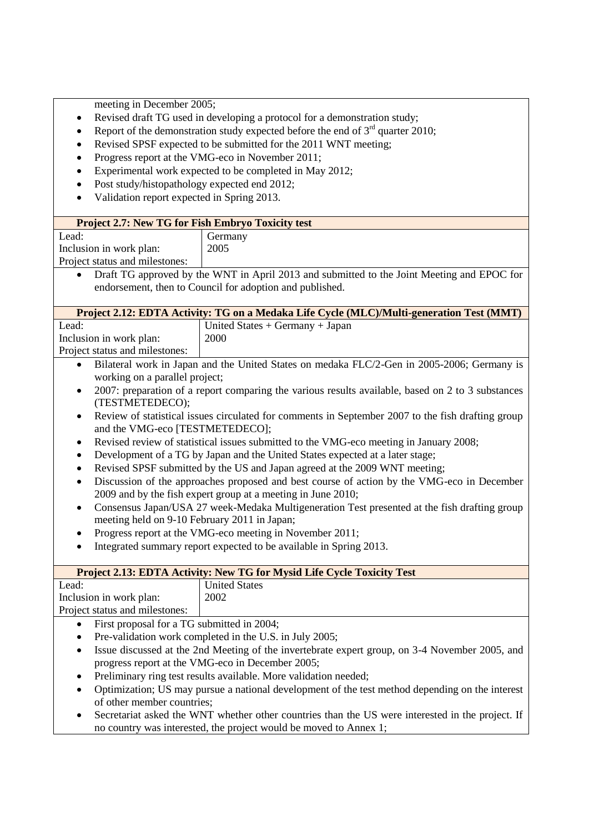meeting in December 2005;

- Revised draft TG used in developing a protocol for a demonstration study;
- Report of the demonstration study expected before the end of  $3<sup>rd</sup>$  quarter 2010;
- Revised SPSF expected to be submitted for the 2011 WNT meeting;
- Progress report at the VMG-eco in November 2011;
- Experimental work expected to be completed in May 2012;
- Post study/histopathology expected end 2012;
- Validation report expected in Spring 2013.

| <b>Project 2.7: New TG for Fish Embryo Toxicity test</b>                                                |                                     |  |
|---------------------------------------------------------------------------------------------------------|-------------------------------------|--|
| Lead:                                                                                                   | Germany                             |  |
| Inclusion in work plan:                                                                                 | 2005                                |  |
| Project status and milestones:                                                                          |                                     |  |
| Draft TG approved by the WNT in April 2013 and submitted to the Joint Meeting and EPOC for<br>$\bullet$ |                                     |  |
| endorsement, then to Council for adoption and published.                                                |                                     |  |
|                                                                                                         |                                     |  |
| Project 2.12: EDTA Activity: TG on a Medaka Life Cycle (MLC)/Multi-generation Test (MMT)                |                                     |  |
| Lead:                                                                                                   | United States $+$ Germany $+$ Japan |  |

| Inclusion in work plan:        | 2000                                                                                         |
|--------------------------------|----------------------------------------------------------------------------------------------|
| Project status and milestones: |                                                                                              |
| working on a parallel project; | • Bilateral work in Japan and the United States on medaka FLC/2-Gen in 2005-2006; Germany is |
|                                |                                                                                              |

- 2007: preparation of a report comparing the various results available, based on 2 to 3 substances (TESTMETEDECO);
- Review of statistical issues circulated for comments in September 2007 to the fish drafting group and the VMG-eco [TESTMETEDECO];
- Revised review of statistical issues submitted to the VMG-eco meeting in January 2008;
- Development of a TG by Japan and the United States expected at a later stage;
- Revised SPSF submitted by the US and Japan agreed at the 2009 WNT meeting;
- Discussion of the approaches proposed and best course of action by the VMG-eco in December 2009 and by the fish expert group at a meeting in June 2010;
- Consensus Japan/USA 27 week-Medaka Multigeneration Test presented at the fish drafting group meeting held on 9-10 February 2011 in Japan;
- Progress report at the VMG-eco meeting in November 2011;
- Integrated summary report expected to be available in Spring 2013.

| <b>Project 2.13: EDTA Activity: New TG for Mysid Life Cycle Toxicity Test</b> |                      |
|-------------------------------------------------------------------------------|----------------------|
| Lead:                                                                         | <b>United States</b> |
| Inclusion in work plan:                                                       | 2002                 |
| Project status and milestones:                                                |                      |
| First proposal for a TG submitted in 2004;                                    |                      |

- Pre-validation work completed in the U.S. in July 2005;
- Issue discussed at the 2nd Meeting of the invertebrate expert group, on 3-4 November 2005, and progress report at the VMG-eco in December 2005;
- Preliminary ring test results available. More validation needed;
- Optimization; US may pursue a national development of the test method depending on the interest of other member countries;
- Secretariat asked the WNT whether other countries than the US were interested in the project. If no country was interested, the project would be moved to Annex 1;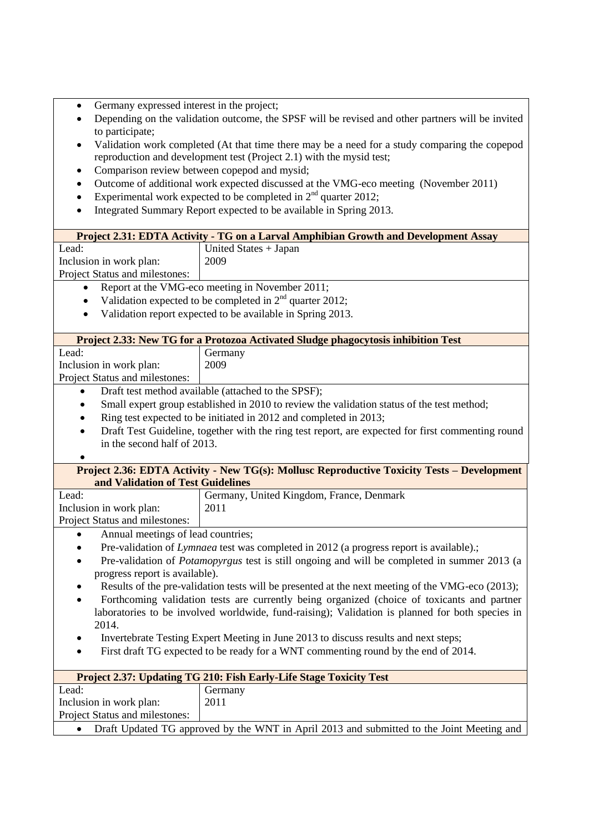- Germany expressed interest in the project;
- Depending on the validation outcome, the SPSF will be revised and other partners will be invited to participate;
- Validation work completed (At that time there may be a need for a study comparing the copepod reproduction and development test (Project 2.1) with the mysid test;
- Comparison review between copepod and mysid;
- Outcome of additional work expected discussed at the VMG-eco meeting (November 2011)
- Experimental work expected to be completed in  $2<sup>nd</sup>$  quarter 2012;
- Integrated Summary Report expected to be available in Spring 2013.

| Project 2.31: EDTA Activity - TG on a Larval Amphibian Growth and Development Assay<br>Lead:<br>United States + Japan<br>Inclusion in work plan:<br>2009<br>Project Status and milestones:<br>Report at the VMG-eco meeting in November 2011;<br>Validation expected to be completed in $2nd$ quarter 2012;<br>Validation report expected to be available in Spring 2013.<br>Project 2.33: New TG for a Protozoa Activated Sludge phagocytosis inhibition Test<br>Lead:<br>Germany<br>2009<br>Inclusion in work plan:<br>Project Status and milestones:<br>Draft test method available (attached to the SPSF);<br>Small expert group established in 2010 to review the validation status of the test method;<br>$\bullet$<br>Ring test expected to be initiated in 2012 and completed in 2013; |  |
|------------------------------------------------------------------------------------------------------------------------------------------------------------------------------------------------------------------------------------------------------------------------------------------------------------------------------------------------------------------------------------------------------------------------------------------------------------------------------------------------------------------------------------------------------------------------------------------------------------------------------------------------------------------------------------------------------------------------------------------------------------------------------------------------|--|
|                                                                                                                                                                                                                                                                                                                                                                                                                                                                                                                                                                                                                                                                                                                                                                                                |  |
|                                                                                                                                                                                                                                                                                                                                                                                                                                                                                                                                                                                                                                                                                                                                                                                                |  |
|                                                                                                                                                                                                                                                                                                                                                                                                                                                                                                                                                                                                                                                                                                                                                                                                |  |
|                                                                                                                                                                                                                                                                                                                                                                                                                                                                                                                                                                                                                                                                                                                                                                                                |  |
|                                                                                                                                                                                                                                                                                                                                                                                                                                                                                                                                                                                                                                                                                                                                                                                                |  |
|                                                                                                                                                                                                                                                                                                                                                                                                                                                                                                                                                                                                                                                                                                                                                                                                |  |
|                                                                                                                                                                                                                                                                                                                                                                                                                                                                                                                                                                                                                                                                                                                                                                                                |  |
|                                                                                                                                                                                                                                                                                                                                                                                                                                                                                                                                                                                                                                                                                                                                                                                                |  |
|                                                                                                                                                                                                                                                                                                                                                                                                                                                                                                                                                                                                                                                                                                                                                                                                |  |
|                                                                                                                                                                                                                                                                                                                                                                                                                                                                                                                                                                                                                                                                                                                                                                                                |  |
|                                                                                                                                                                                                                                                                                                                                                                                                                                                                                                                                                                                                                                                                                                                                                                                                |  |
|                                                                                                                                                                                                                                                                                                                                                                                                                                                                                                                                                                                                                                                                                                                                                                                                |  |
|                                                                                                                                                                                                                                                                                                                                                                                                                                                                                                                                                                                                                                                                                                                                                                                                |  |
|                                                                                                                                                                                                                                                                                                                                                                                                                                                                                                                                                                                                                                                                                                                                                                                                |  |
|                                                                                                                                                                                                                                                                                                                                                                                                                                                                                                                                                                                                                                                                                                                                                                                                |  |
| Draft Test Guideline, together with the ring test report, are expected for first commenting round                                                                                                                                                                                                                                                                                                                                                                                                                                                                                                                                                                                                                                                                                              |  |
| in the second half of 2013.                                                                                                                                                                                                                                                                                                                                                                                                                                                                                                                                                                                                                                                                                                                                                                    |  |
|                                                                                                                                                                                                                                                                                                                                                                                                                                                                                                                                                                                                                                                                                                                                                                                                |  |
| Project 2.36: EDTA Activity - New TG(s): Mollusc Reproductive Toxicity Tests - Development                                                                                                                                                                                                                                                                                                                                                                                                                                                                                                                                                                                                                                                                                                     |  |
| and Validation of Test Guidelines                                                                                                                                                                                                                                                                                                                                                                                                                                                                                                                                                                                                                                                                                                                                                              |  |
| Lead:<br>Germany, United Kingdom, France, Denmark                                                                                                                                                                                                                                                                                                                                                                                                                                                                                                                                                                                                                                                                                                                                              |  |
| 2011<br>Inclusion in work plan:                                                                                                                                                                                                                                                                                                                                                                                                                                                                                                                                                                                                                                                                                                                                                                |  |
| Project Status and milestones:                                                                                                                                                                                                                                                                                                                                                                                                                                                                                                                                                                                                                                                                                                                                                                 |  |
| Annual meetings of lead countries;                                                                                                                                                                                                                                                                                                                                                                                                                                                                                                                                                                                                                                                                                                                                                             |  |
| Pre-validation of <i>Lymnaea</i> test was completed in 2012 (a progress report is available).;                                                                                                                                                                                                                                                                                                                                                                                                                                                                                                                                                                                                                                                                                                 |  |
| Pre-validation of <i>Potamopyrgus</i> test is still ongoing and will be completed in summer 2013 (a<br>٠                                                                                                                                                                                                                                                                                                                                                                                                                                                                                                                                                                                                                                                                                       |  |
| progress report is available).                                                                                                                                                                                                                                                                                                                                                                                                                                                                                                                                                                                                                                                                                                                                                                 |  |
| Results of the pre-validation tests will be presented at the next meeting of the VMG-eco (2013);                                                                                                                                                                                                                                                                                                                                                                                                                                                                                                                                                                                                                                                                                               |  |
| Forthcoming validation tests are currently being organized (choice of toxicants and partner                                                                                                                                                                                                                                                                                                                                                                                                                                                                                                                                                                                                                                                                                                    |  |
| laboratories to be involved worldwide, fund-raising); Validation is planned for both species in                                                                                                                                                                                                                                                                                                                                                                                                                                                                                                                                                                                                                                                                                                |  |
| 2014.                                                                                                                                                                                                                                                                                                                                                                                                                                                                                                                                                                                                                                                                                                                                                                                          |  |
| Invertebrate Testing Expert Meeting in June 2013 to discuss results and next steps;                                                                                                                                                                                                                                                                                                                                                                                                                                                                                                                                                                                                                                                                                                            |  |
| First draft TG expected to be ready for a WNT commenting round by the end of 2014.                                                                                                                                                                                                                                                                                                                                                                                                                                                                                                                                                                                                                                                                                                             |  |
|                                                                                                                                                                                                                                                                                                                                                                                                                                                                                                                                                                                                                                                                                                                                                                                                |  |
| Project 2.37: Updating TG 210: Fish Early-Life Stage Toxicity Test                                                                                                                                                                                                                                                                                                                                                                                                                                                                                                                                                                                                                                                                                                                             |  |
| Lead:<br>Germany                                                                                                                                                                                                                                                                                                                                                                                                                                                                                                                                                                                                                                                                                                                                                                               |  |
| 2011<br>Inclusion in work plan:                                                                                                                                                                                                                                                                                                                                                                                                                                                                                                                                                                                                                                                                                                                                                                |  |
| Project Status and milestones:                                                                                                                                                                                                                                                                                                                                                                                                                                                                                                                                                                                                                                                                                                                                                                 |  |
| Draft Updated TG approved by the WNT in April 2013 and submitted to the Joint Meeting and                                                                                                                                                                                                                                                                                                                                                                                                                                                                                                                                                                                                                                                                                                      |  |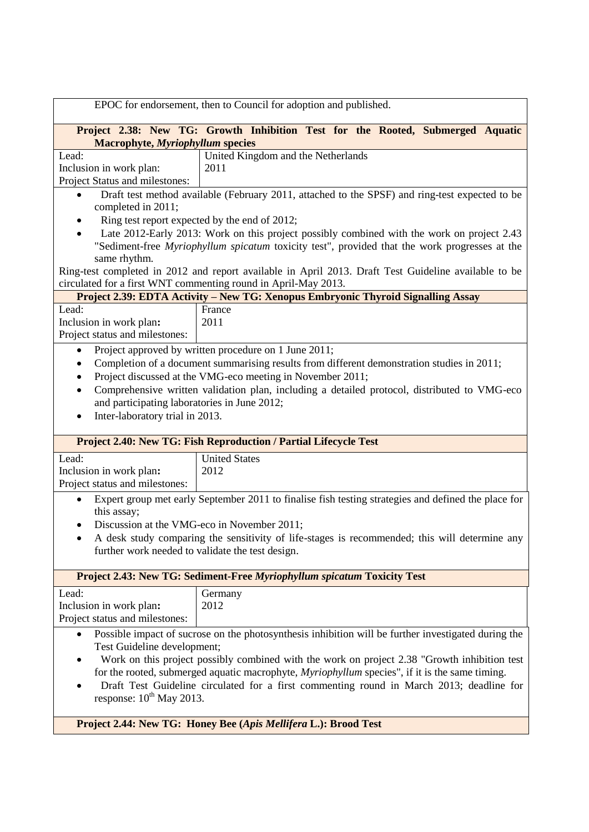| EPOC for endorsement, then to Council for adoption and published.                                                                                                                                                                                                                                                                                                                                                                                                              |                                                                                                                                                                                             |  |
|--------------------------------------------------------------------------------------------------------------------------------------------------------------------------------------------------------------------------------------------------------------------------------------------------------------------------------------------------------------------------------------------------------------------------------------------------------------------------------|---------------------------------------------------------------------------------------------------------------------------------------------------------------------------------------------|--|
| Project 2.38: New TG: Growth Inhibition Test for the Rooted, Submerged Aquatic<br><b>Macrophyte, Myriophyllum species</b>                                                                                                                                                                                                                                                                                                                                                      |                                                                                                                                                                                             |  |
| Lead:<br>Inclusion in work plan:<br>Project Status and milestones:                                                                                                                                                                                                                                                                                                                                                                                                             | United Kingdom and the Netherlands<br>2011                                                                                                                                                  |  |
| completed in 2011;                                                                                                                                                                                                                                                                                                                                                                                                                                                             | Draft test method available (February 2011, attached to the SPSF) and ring-test expected to be<br>Ring test report expected by the end of 2012;                                             |  |
| same rhythm.                                                                                                                                                                                                                                                                                                                                                                                                                                                                   | Late 2012-Early 2013: Work on this project possibly combined with the work on project 2.43<br>"Sediment-free Myriophyllum spicatum toxicity test", provided that the work progresses at the |  |
|                                                                                                                                                                                                                                                                                                                                                                                                                                                                                | Ring-test completed in 2012 and report available in April 2013. Draft Test Guideline available to be<br>circulated for a first WNT commenting round in April-May 2013.                      |  |
|                                                                                                                                                                                                                                                                                                                                                                                                                                                                                | Project 2.39: EDTA Activity - New TG: Xenopus Embryonic Thyroid Signalling Assay                                                                                                            |  |
| Lead:<br>Inclusion in work plan:<br>Project status and milestones:                                                                                                                                                                                                                                                                                                                                                                                                             | France<br>2011                                                                                                                                                                              |  |
| Project approved by written procedure on 1 June 2011;<br>٠<br>Completion of a document summarising results from different demonstration studies in 2011;<br>$\bullet$<br>Project discussed at the VMG-eco meeting in November 2011;<br>$\bullet$<br>Comprehensive written validation plan, including a detailed protocol, distributed to VMG-eco<br>٠<br>and participating laboratories in June 2012;<br>Inter-laboratory trial in 2013.<br>٠                                  |                                                                                                                                                                                             |  |
|                                                                                                                                                                                                                                                                                                                                                                                                                                                                                | <b>Project 2.40: New TG: Fish Reproduction / Partial Lifecycle Test</b>                                                                                                                     |  |
| Lead:<br>Inclusion in work plan:<br>Project status and milestones:                                                                                                                                                                                                                                                                                                                                                                                                             | <b>United States</b><br>2012                                                                                                                                                                |  |
| Expert group met early September 2011 to finalise fish testing strategies and defined the place for<br>$\bullet$<br>this assay;                                                                                                                                                                                                                                                                                                                                                |                                                                                                                                                                                             |  |
| Discussion at the VMG-eco in November 2011;<br>A desk study comparing the sensitivity of life-stages is recommended; this will determine any<br>further work needed to validate the test design.                                                                                                                                                                                                                                                                               |                                                                                                                                                                                             |  |
|                                                                                                                                                                                                                                                                                                                                                                                                                                                                                | Project 2.43: New TG: Sediment-Free Myriophyllum spicatum Toxicity Test                                                                                                                     |  |
| Lead:<br>Inclusion in work plan:<br>Project status and milestones:                                                                                                                                                                                                                                                                                                                                                                                                             | Germany<br>2012                                                                                                                                                                             |  |
| Possible impact of sucrose on the photosynthesis inhibition will be further investigated during the<br>$\bullet$<br>Test Guideline development;<br>Work on this project possibly combined with the work on project 2.38 "Growth inhibition test<br>for the rooted, submerged aquatic macrophyte, Myriophyllum species", if it is the same timing.<br>Draft Test Guideline circulated for a first commenting round in March 2013; deadline for<br>response: $10^{th}$ May 2013. |                                                                                                                                                                                             |  |

**Project 2.44: New TG: Honey Bee (***Apis Mellifera* **L.): Brood Test**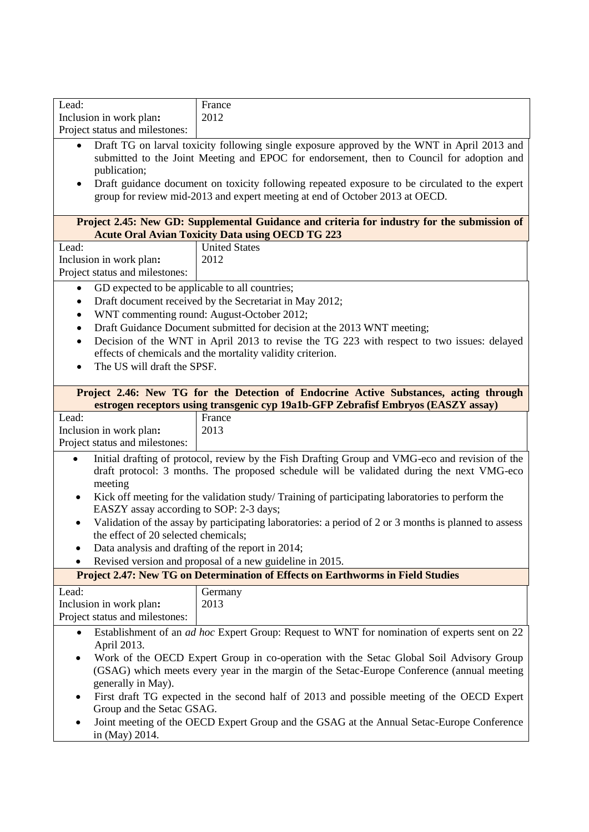| Lead:                                                                                                                                                                                                                                                                                                                        | France<br>2012                                                                                                                                                                               |  |
|------------------------------------------------------------------------------------------------------------------------------------------------------------------------------------------------------------------------------------------------------------------------------------------------------------------------------|----------------------------------------------------------------------------------------------------------------------------------------------------------------------------------------------|--|
| Inclusion in work plan:                                                                                                                                                                                                                                                                                                      |                                                                                                                                                                                              |  |
| Project status and milestones:                                                                                                                                                                                                                                                                                               |                                                                                                                                                                                              |  |
| Draft TG on larval toxicity following single exposure approved by the WNT in April 2013 and<br>$\bullet$<br>submitted to the Joint Meeting and EPOC for endorsement, then to Council for adoption and<br>publication;<br>Draft guidance document on toxicity following repeated exposure to be circulated to the expert<br>٠ |                                                                                                                                                                                              |  |
|                                                                                                                                                                                                                                                                                                                              | group for review mid-2013 and expert meeting at end of October 2013 at OECD.                                                                                                                 |  |
| Project 2.45: New GD: Supplemental Guidance and criteria for industry for the submission of<br><b>Acute Oral Avian Toxicity Data using OECD TG 223</b>                                                                                                                                                                       |                                                                                                                                                                                              |  |
| Lead:                                                                                                                                                                                                                                                                                                                        | <b>United States</b>                                                                                                                                                                         |  |
| Inclusion in work plan:                                                                                                                                                                                                                                                                                                      | 2012                                                                                                                                                                                         |  |
| Project status and milestones:                                                                                                                                                                                                                                                                                               |                                                                                                                                                                                              |  |
| GD expected to be applicable to all countries;<br>$\bullet$                                                                                                                                                                                                                                                                  |                                                                                                                                                                                              |  |
| ٠                                                                                                                                                                                                                                                                                                                            | Draft document received by the Secretariat in May 2012;                                                                                                                                      |  |
| $\bullet$                                                                                                                                                                                                                                                                                                                    | WNT commenting round: August-October 2012;                                                                                                                                                   |  |
| $\bullet$                                                                                                                                                                                                                                                                                                                    | Draft Guidance Document submitted for decision at the 2013 WNT meeting;                                                                                                                      |  |
| $\bullet$                                                                                                                                                                                                                                                                                                                    | Decision of the WNT in April 2013 to revise the TG 223 with respect to two issues: delayed                                                                                                   |  |
|                                                                                                                                                                                                                                                                                                                              | effects of chemicals and the mortality validity criterion.                                                                                                                                   |  |
| The US will draft the SPSF.                                                                                                                                                                                                                                                                                                  |                                                                                                                                                                                              |  |
|                                                                                                                                                                                                                                                                                                                              |                                                                                                                                                                                              |  |
|                                                                                                                                                                                                                                                                                                                              | Project 2.46: New TG for the Detection of Endocrine Active Substances, acting through                                                                                                        |  |
| Lead:                                                                                                                                                                                                                                                                                                                        | estrogen receptors using transgenic cyp 19a1b-GFP Zebrafisf Embryos (EASZY assay)<br>France                                                                                                  |  |
| Inclusion in work plan:                                                                                                                                                                                                                                                                                                      | 2013                                                                                                                                                                                         |  |
| Project status and milestones:                                                                                                                                                                                                                                                                                               |                                                                                                                                                                                              |  |
|                                                                                                                                                                                                                                                                                                                              |                                                                                                                                                                                              |  |
| $\bullet$<br>meeting                                                                                                                                                                                                                                                                                                         | Initial drafting of protocol, review by the Fish Drafting Group and VMG-eco and revision of the<br>draft protocol: 3 months. The proposed schedule will be validated during the next VMG-eco |  |
| Kick off meeting for the validation study/Training of participating laboratories to perform the<br>٠<br>EASZY assay according to SOP: 2-3 days;                                                                                                                                                                              |                                                                                                                                                                                              |  |
| Validation of the assay by participating laboratories: a period of 2 or 3 months is planned to assess                                                                                                                                                                                                                        |                                                                                                                                                                                              |  |
| the effect of 20 selected chemicals;<br>Data analysis and drafting of the report in 2014;                                                                                                                                                                                                                                    |                                                                                                                                                                                              |  |
|                                                                                                                                                                                                                                                                                                                              |                                                                                                                                                                                              |  |
| Revised version and proposal of a new guideline in 2015.<br>Project 2.47: New TG on Determination of Effects on Earthworms in Field Studies                                                                                                                                                                                  |                                                                                                                                                                                              |  |
| Lead:                                                                                                                                                                                                                                                                                                                        | Germany                                                                                                                                                                                      |  |
| Inclusion in work plan:                                                                                                                                                                                                                                                                                                      | 2013                                                                                                                                                                                         |  |
| Project status and milestones:                                                                                                                                                                                                                                                                                               |                                                                                                                                                                                              |  |
| $\bullet$                                                                                                                                                                                                                                                                                                                    | Establishment of an <i>ad hoc</i> Expert Group: Request to WNT for nomination of experts sent on 22                                                                                          |  |
| April 2013.                                                                                                                                                                                                                                                                                                                  |                                                                                                                                                                                              |  |
|                                                                                                                                                                                                                                                                                                                              | Work of the OECD Expert Group in co-operation with the Setac Global Soil Advisory Group<br>(GSAG) which meets every year in the margin of the Setac-Europe Conference (annual meeting        |  |
| generally in May).                                                                                                                                                                                                                                                                                                           |                                                                                                                                                                                              |  |
| Group and the Setac GSAG.                                                                                                                                                                                                                                                                                                    | First draft TG expected in the second half of 2013 and possible meeting of the OECD Expert                                                                                                   |  |

 Joint meeting of the OECD Expert Group and the GSAG at the Annual Setac-Europe Conference in (May) 2014.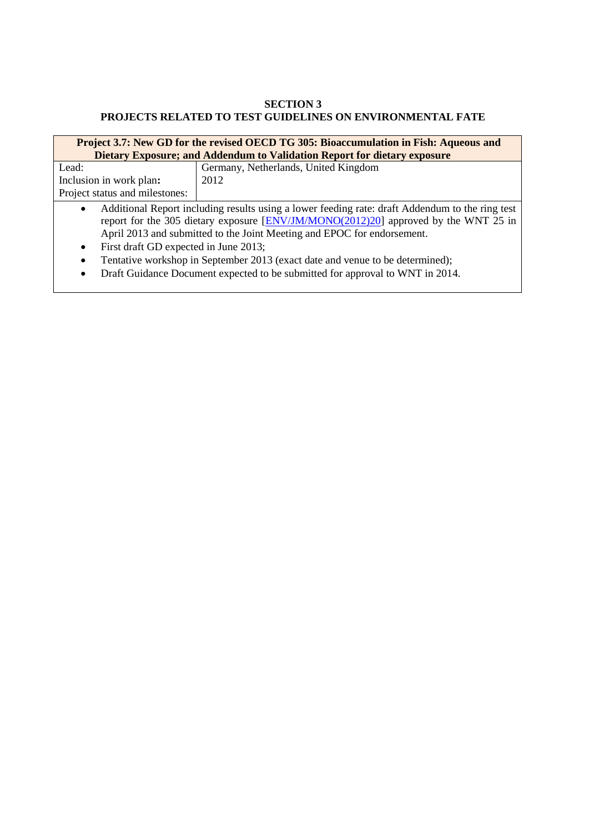## **SECTION 3 PROJECTS RELATED TO TEST GUIDELINES ON ENVIRONMENTAL FATE**

| Project 3.7: New GD for the revised OECD TG 305: Bioaccumulation in Fish: Aqueous and                        |                                      |
|--------------------------------------------------------------------------------------------------------------|--------------------------------------|
| Dietary Exposure; and Addendum to Validation Report for dietary exposure                                     |                                      |
| Lead:                                                                                                        | Germany, Netherlands, United Kingdom |
| Inclusion in work plan:                                                                                      | 2012                                 |
| Project status and milestones:                                                                               |                                      |
| Additional Report including results using a lower feeding rate: draft Addendum to the ring test<br>$\bullet$ |                                      |
| report for the 305 dietary exposure [ENV/JM/MONO(2012)20] approved by the WNT 25 in                          |                                      |
| April 2013 and submitted to the Joint Meeting and EPOC for endorsement.                                      |                                      |
| First draft GD expected in June 2013;<br>$\bullet$                                                           |                                      |
| Tentative workshop in September 2013 (exact date and venue to be determined);<br>$\bullet$                   |                                      |
| Draft Guidance Document expected to be submitted for approval to WNT in 2014.<br>$\bullet$                   |                                      |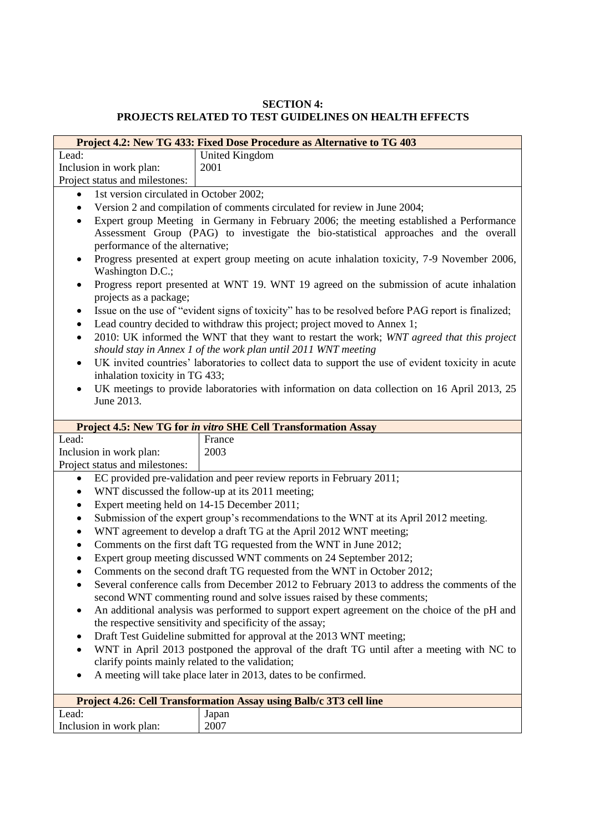## **SECTION 4: PROJECTS RELATED TO TEST GUIDELINES ON HEALTH EFFECTS**

|                                                                                                                              | Project 4.2: New TG 433: Fixed Dose Procedure as Alternative to TG 403                                                                                                          |  |  |
|------------------------------------------------------------------------------------------------------------------------------|---------------------------------------------------------------------------------------------------------------------------------------------------------------------------------|--|--|
| Lead:                                                                                                                        | United Kingdom                                                                                                                                                                  |  |  |
| Inclusion in work plan:                                                                                                      | 2001                                                                                                                                                                            |  |  |
| Project status and milestones:                                                                                               |                                                                                                                                                                                 |  |  |
| 1st version circulated in October 2002;<br>$\bullet$                                                                         |                                                                                                                                                                                 |  |  |
| $\bullet$                                                                                                                    | Version 2 and compilation of comments circulated for review in June 2004;                                                                                                       |  |  |
| ٠<br>performance of the alternative;                                                                                         | Expert group Meeting in Germany in February 2006; the meeting established a Performance<br>Assessment Group (PAG) to investigate the bio-statistical approaches and the overall |  |  |
| Progress presented at expert group meeting on acute inhalation toxicity, 7-9 November 2006,<br>$\bullet$<br>Washington D.C.; |                                                                                                                                                                                 |  |  |
| Progress report presented at WNT 19. WNT 19 agreed on the submission of acute inhalation<br>٠<br>projects as a package;      |                                                                                                                                                                                 |  |  |
| ٠<br>$\bullet$                                                                                                               | Issue on the use of "evident signs of toxicity" has to be resolved before PAG report is finalized;<br>Lead country decided to withdraw this project; project moved to Annex 1;  |  |  |
| $\bullet$                                                                                                                    | 2010: UK informed the WNT that they want to restart the work; WNT agreed that this project                                                                                      |  |  |
| ٠                                                                                                                            | should stay in Annex 1 of the work plan until 2011 WNT meeting<br>UK invited countries' laboratories to collect data to support the use of evident toxicity in acute            |  |  |
| inhalation toxicity in TG 433;<br>$\bullet$                                                                                  | UK meetings to provide laboratories with information on data collection on 16 April 2013, 25                                                                                    |  |  |
| June 2013.                                                                                                                   |                                                                                                                                                                                 |  |  |
|                                                                                                                              |                                                                                                                                                                                 |  |  |
|                                                                                                                              | Project 4.5: New TG for in vitro SHE Cell Transformation Assay                                                                                                                  |  |  |
| Lead:                                                                                                                        | France                                                                                                                                                                          |  |  |
| Inclusion in work plan:                                                                                                      | 2003                                                                                                                                                                            |  |  |
|                                                                                                                              |                                                                                                                                                                                 |  |  |
| Project status and milestones:                                                                                               |                                                                                                                                                                                 |  |  |
| $\bullet$                                                                                                                    | EC provided pre-validation and peer review reports in February 2011;                                                                                                            |  |  |
| ٠                                                                                                                            | WNT discussed the follow-up at its 2011 meeting;                                                                                                                                |  |  |
| Expert meeting held on 14-15 December 2011;<br>٠                                                                             |                                                                                                                                                                                 |  |  |
| $\bullet$                                                                                                                    | Submission of the expert group's recommendations to the WNT at its April 2012 meeting.                                                                                          |  |  |
| $\bullet$                                                                                                                    | WNT agreement to develop a draft TG at the April 2012 WNT meeting;                                                                                                              |  |  |
| $\bullet$                                                                                                                    | Comments on the first daft TG requested from the WNT in June 2012;                                                                                                              |  |  |
| $\bullet$                                                                                                                    | Expert group meeting discussed WNT comments on 24 September 2012;                                                                                                               |  |  |
|                                                                                                                              | Comments on the second draft TG requested from the WNT in October 2012;                                                                                                         |  |  |
|                                                                                                                              | Several conference calls from December 2012 to February 2013 to address the comments of the                                                                                     |  |  |
|                                                                                                                              | second WNT commenting round and solve issues raised by these comments;                                                                                                          |  |  |
|                                                                                                                              | An additional analysis was performed to support expert agreement on the choice of the pH and                                                                                    |  |  |
|                                                                                                                              | the respective sensitivity and specificity of the assay;                                                                                                                        |  |  |
|                                                                                                                              | Draft Test Guideline submitted for approval at the 2013 WNT meeting;                                                                                                            |  |  |
|                                                                                                                              | WNT in April 2013 postponed the approval of the draft TG until after a meeting with NC to                                                                                       |  |  |
| clarify points mainly related to the validation;                                                                             |                                                                                                                                                                                 |  |  |
|                                                                                                                              | A meeting will take place later in 2013, dates to be confirmed.                                                                                                                 |  |  |
|                                                                                                                              | Project 4.26: Cell Transformation Assay using Balb/c 3T3 cell line                                                                                                              |  |  |
| Lead:                                                                                                                        | Japan                                                                                                                                                                           |  |  |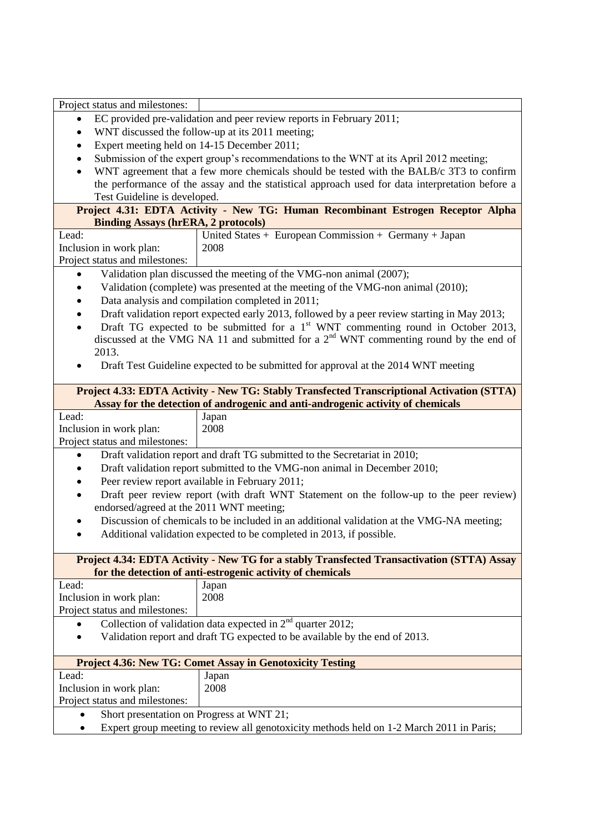| Project status and milestones:                                                                                                |                                                                                                   |  |
|-------------------------------------------------------------------------------------------------------------------------------|---------------------------------------------------------------------------------------------------|--|
| ٠                                                                                                                             | EC provided pre-validation and peer review reports in February 2011;                              |  |
| $\bullet$                                                                                                                     | WNT discussed the follow-up at its 2011 meeting;                                                  |  |
| Expert meeting held on 14-15 December 2011;<br>$\bullet$                                                                      |                                                                                                   |  |
|                                                                                                                               | Submission of the expert group's recommendations to the WNT at its April 2012 meeting;            |  |
| $\bullet$                                                                                                                     | WNT agreement that a few more chemicals should be tested with the BALB/c 3T3 to confirm           |  |
|                                                                                                                               | the performance of the assay and the statistical approach used for data interpretation before a   |  |
| Test Guideline is developed.                                                                                                  |                                                                                                   |  |
| Project 4.31: EDTA Activity - New TG: Human Recombinant Estrogen Receptor Alpha<br><b>Binding Assays (hrERA, 2 protocols)</b> |                                                                                                   |  |
| Lead:                                                                                                                         | United States + European Commission + Germany + Japan                                             |  |
| Inclusion in work plan:                                                                                                       | 2008                                                                                              |  |
| Project status and milestones:                                                                                                |                                                                                                   |  |
|                                                                                                                               | Validation plan discussed the meeting of the VMG-non animal (2007);                               |  |
|                                                                                                                               | Validation (complete) was presented at the meeting of the VMG-non animal (2010);                  |  |
|                                                                                                                               | Data analysis and compilation completed in 2011;                                                  |  |
|                                                                                                                               | Draft validation report expected early 2013, followed by a peer review starting in May 2013;      |  |
|                                                                                                                               | Draft TG expected to be submitted for a 1 <sup>st</sup> WNT commenting round in October 2013,     |  |
|                                                                                                                               | discussed at the VMG NA 11 and submitted for a 2 <sup>nd</sup> WNT commenting round by the end of |  |
| 2013.                                                                                                                         |                                                                                                   |  |
|                                                                                                                               | Draft Test Guideline expected to be submitted for approval at the 2014 WNT meeting                |  |
|                                                                                                                               |                                                                                                   |  |
|                                                                                                                               | Project 4.33: EDTA Activity - New TG: Stably Transfected Transcriptional Activation (STTA)        |  |
|                                                                                                                               | Assay for the detection of androgenic and anti-androgenic activity of chemicals                   |  |
| Lead:                                                                                                                         | Japan                                                                                             |  |
| Inclusion in work plan:                                                                                                       | 2008                                                                                              |  |
| Project status and milestones:                                                                                                |                                                                                                   |  |
|                                                                                                                               | Draft validation report and draft TG submitted to the Secretariat in 2010;                        |  |
| Draft validation report submitted to the VMG-non animal in December 2010;                                                     |                                                                                                   |  |
|                                                                                                                               | Peer review report available in February 2011;                                                    |  |
| Draft peer review report (with draft WNT Statement on the follow-up to the peer review)                                       |                                                                                                   |  |
| endorsed/agreed at the 2011 WNT meeting;                                                                                      |                                                                                                   |  |
| Discussion of chemicals to be included in an additional validation at the VMG-NA meeting;                                     |                                                                                                   |  |
| Additional validation expected to be completed in 2013, if possible.                                                          |                                                                                                   |  |
|                                                                                                                               |                                                                                                   |  |
|                                                                                                                               | Project 4.34: EDTA Activity - New TG for a stably Transfected Transactivation (STTA) Assay        |  |
|                                                                                                                               | for the detection of anti-estrogenic activity of chemicals                                        |  |
| Lead:                                                                                                                         | Japan                                                                                             |  |
| Inclusion in work plan:                                                                                                       | 2008                                                                                              |  |
| Project status and milestones:                                                                                                |                                                                                                   |  |
| Collection of validation data expected in $2nd$ quarter 2012;                                                                 |                                                                                                   |  |
|                                                                                                                               | Validation report and draft TG expected to be available by the end of 2013.                       |  |
| <b>Project 4.36: New TG: Comet Assay in Genotoxicity Testing</b>                                                              |                                                                                                   |  |
| Lead:                                                                                                                         | Japan                                                                                             |  |
| Inclusion in work plan:                                                                                                       | 2008                                                                                              |  |
| Project status and milestones:                                                                                                |                                                                                                   |  |
| Short presentation on Progress at WNT 21;                                                                                     |                                                                                                   |  |
|                                                                                                                               | Expert group meeting to review all genotoxicity methods held on 1-2 March 2011 in Paris;          |  |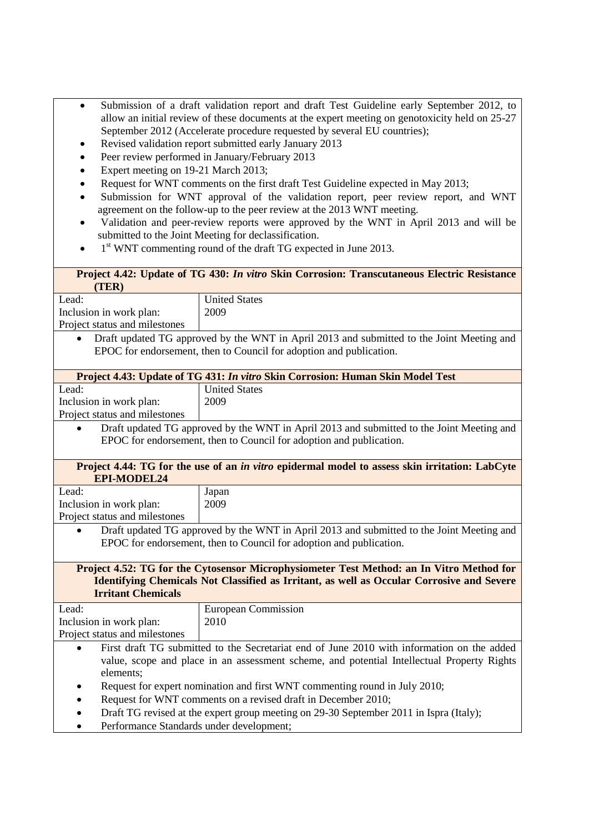- Submission of a draft validation report and draft Test Guideline early September 2012, to allow an initial review of these documents at the expert meeting on genotoxicity held on 25-27 September 2012 (Accelerate procedure requested by several EU countries);
- Revised validation report submitted early January 2013
- Peer review performed in January/February 2013
- Expert meeting on 19-21 March 2013;
- Request for WNT comments on the first draft Test Guideline expected in May 2013;
- Submission for WNT approval of the validation report, peer review report, and WNT agreement on the follow-up to the peer review at the 2013 WNT meeting.
- Validation and peer-review reports were approved by the WNT in April 2013 and will be submitted to the Joint Meeting for declassification.
- $\bullet$  1<sup>st</sup> WNT commenting round of the draft TG expected in June 2013.

# **Project 4.42: Update of TG 430:** *In vitro* **Skin Corrosion: Transcutaneous Electric Resistance (TER)**

Lead: Inclusion in work plan: Project status and milestones United States 2009

 Draft updated TG approved by the WNT in April 2013 and submitted to the Joint Meeting and EPOC for endorsement, then to Council for adoption and publication.

| Project 4.43: Update of TG 431: <i>In vitro</i> Skin Corrosion: Human Skin Model Test     |                      |
|-------------------------------------------------------------------------------------------|----------------------|
| Lead:                                                                                     | <b>United States</b> |
| Inclusion in work plan:                                                                   | 2009                 |
| Project status and milestones                                                             |                      |
| Draft updated TG approved by the WNT in April 2013 and submitted to the Joint Meeting and |                      |
| EPOC for endorsement, then to Council for adoption and publication.                       |                      |

| <b>EPI-MODEL24</b> | Project 4.44: TG for the use of an in vitro epidermal model to assess skin irritation: LabCyte |
|--------------------|------------------------------------------------------------------------------------------------|
| .ead               | Japan                                                                                          |

| Lead:                         | Japan |
|-------------------------------|-------|
| Inclusion in work plan:       | 2009  |
| Project status and milestones |       |

 Draft updated TG approved by the WNT in April 2013 and submitted to the Joint Meeting and EPOC for endorsement, then to Council for adoption and publication.

#### **Project 4.52: TG for the Cytosensor Microphysiometer Test Method: an In Vitro Method for Identifying Chemicals Not Classified as Irritant, as well as Occular Corrosive and Severe Irritant Chemicals**

| Lead:                         | European Commission |
|-------------------------------|---------------------|
|                               |                     |
| Inclusion in work plan:       | 2010                |
| Project status and milestones |                     |
|                               |                     |

- First draft TG submitted to the Secretariat end of June 2010 with information on the added value, scope and place in an assessment scheme, and potential Intellectual Property Rights elements;
- Request for expert nomination and first WNT commenting round in July 2010;
- Request for WNT comments on a revised draft in December 2010;
- Draft TG revised at the expert group meeting on 29-30 September 2011 in Ispra (Italy);
- Performance Standards under development;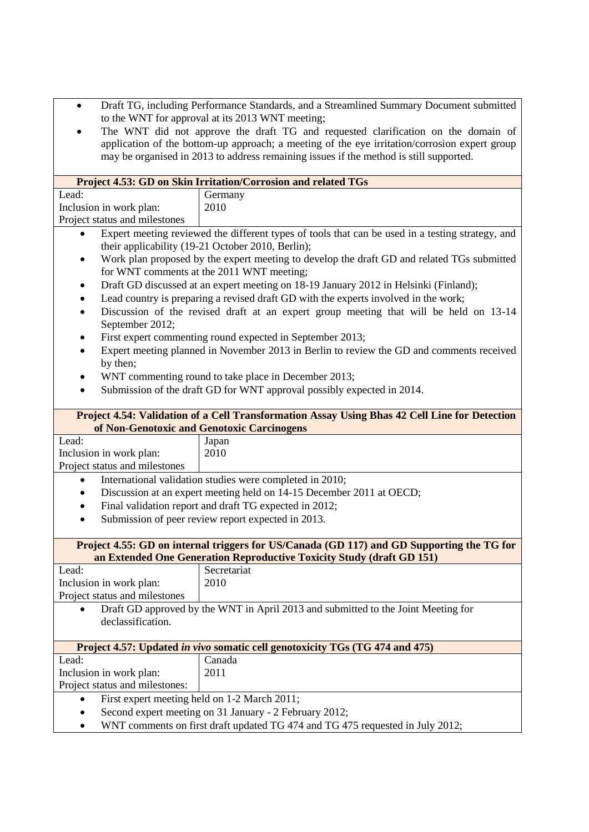- Draft TG, including Performance Standards, and a Streamlined Summary Document submitted to the WNT for approval at its 2013 WNT meeting;
- The WNT did not approve the draft TG and requested clarification on the domain of application of the bottom-up approach; a meeting of the eye irritation/corrosion expert group may be organised in 2013 to address remaining issues if the method is still supported.

|                                                                                               | Project 4.53: GD on Skin Irritation/Corrosion and related TGs                                    |  |
|-----------------------------------------------------------------------------------------------|--------------------------------------------------------------------------------------------------|--|
| Lead:                                                                                         | Germany                                                                                          |  |
| Inclusion in work plan:                                                                       | 2010                                                                                             |  |
| Project status and milestones                                                                 |                                                                                                  |  |
|                                                                                               | Expert meeting reviewed the different types of tools that can be used in a testing strategy, and |  |
| their applicability (19-21 October 2010, Berlin);                                             |                                                                                                  |  |
| $\bullet$                                                                                     | Work plan proposed by the expert meeting to develop the draft GD and related TGs submitted       |  |
| for WNT comments at the 2011 WNT meeting;                                                     |                                                                                                  |  |
|                                                                                               | Draft GD discussed at an expert meeting on 18-19 January 2012 in Helsinki (Finland);             |  |
|                                                                                               | Lead country is preparing a revised draft GD with the experts involved in the work;              |  |
| Discussion of the revised draft at an expert group meeting that will be held on 13-14<br>٠    |                                                                                                  |  |
| September 2012;                                                                               |                                                                                                  |  |
| $\bullet$                                                                                     | First expert commenting round expected in September 2013;                                        |  |
| Expert meeting planned in November 2013 in Berlin to review the GD and comments received<br>٠ |                                                                                                  |  |
| by then;                                                                                      |                                                                                                  |  |
| ٠                                                                                             | WNT commenting round to take place in December 2013;                                             |  |
| $\bullet$                                                                                     | Submission of the draft GD for WNT approval possibly expected in 2014.                           |  |
|                                                                                               |                                                                                                  |  |
|                                                                                               | Project 4.54: Validation of a Cell Transformation Assay Using Bhas 42 Cell Line for Detection    |  |
|                                                                                               | of Non-Genotoxic and Genotoxic Carcinogens                                                       |  |
| Lead:                                                                                         | Japan                                                                                            |  |
| Inclusion in work plan:                                                                       | 2010                                                                                             |  |
| Project status and milestones                                                                 |                                                                                                  |  |
| ٠                                                                                             | International validation studies were completed in 2010;                                         |  |
|                                                                                               | Discussion at an expert meeting held on 14-15 December 2011 at OECD;                             |  |
|                                                                                               | Final validation report and draft TG expected in 2012;                                           |  |
| Submission of peer review report expected in 2013.                                            |                                                                                                  |  |
|                                                                                               |                                                                                                  |  |
|                                                                                               | Project 4.55: GD on internal triggers for US/Canada (GD 117) and GD Supporting the TG for        |  |
|                                                                                               | an Extended One Generation Reproductive Toxicity Study (draft GD 151)                            |  |
| Lead:                                                                                         | Secretariat                                                                                      |  |
| Inclusion in work plan:                                                                       | 2010                                                                                             |  |
| Project status and milestones                                                                 |                                                                                                  |  |
|                                                                                               | • Draft GD approved by the WNT in April 2013 and submitted to the Joint Meeting for              |  |
| declassification.                                                                             |                                                                                                  |  |
|                                                                                               |                                                                                                  |  |
|                                                                                               | Project 4.57: Updated in vivo somatic cell genotoxicity TGs (TG 474 and 475)                     |  |
| Lead:                                                                                         | Canada                                                                                           |  |
| Inclusion in work plan:                                                                       | 2011                                                                                             |  |
| Project status and milestones:                                                                |                                                                                                  |  |
| $\bullet$                                                                                     | First expert meeting held on 1-2 March 2011;                                                     |  |
| Second expert meeting on 31 January - 2 February 2012;                                        |                                                                                                  |  |
| WNT comments on first draft updated TG 474 and TG 475 requested in July 2012;                 |                                                                                                  |  |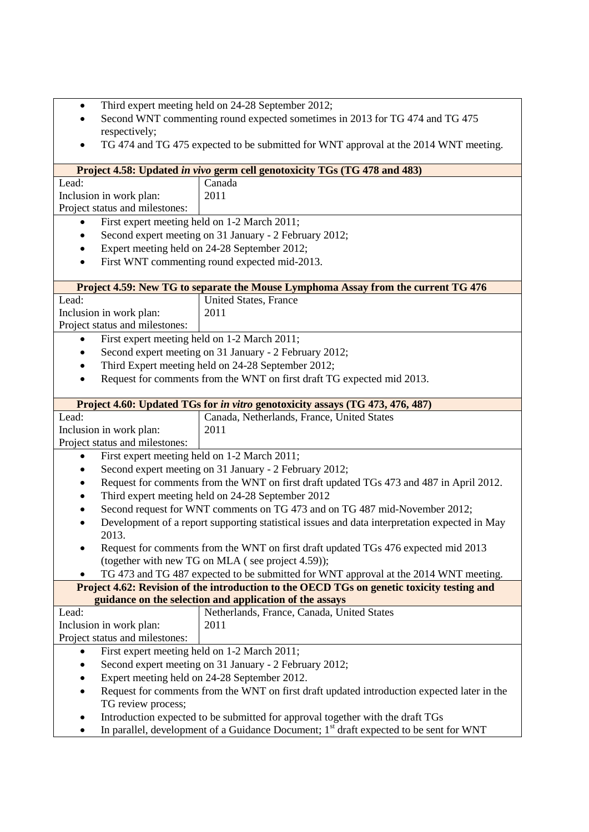- Third expert meeting held on 24-28 September 2012;
- Second WNT commenting round expected sometimes in 2013 for TG 474 and TG 475 respectively;
- TG 474 and TG 475 expected to be submitted for WNT approval at the 2014 WNT meeting.

|                                                                                                                                                                                          | Project 4.58: Updated in vivo germ cell genotoxicity TGs (TG 478 and 483)                   |  |
|------------------------------------------------------------------------------------------------------------------------------------------------------------------------------------------|---------------------------------------------------------------------------------------------|--|
| Lead:                                                                                                                                                                                    | Canada                                                                                      |  |
| Inclusion in work plan:                                                                                                                                                                  | 2011                                                                                        |  |
| Project status and milestones:                                                                                                                                                           |                                                                                             |  |
| First expert meeting held on 1-2 March 2011;<br>$\bullet$                                                                                                                                |                                                                                             |  |
| $\bullet$                                                                                                                                                                                | Second expert meeting on 31 January - 2 February 2012;                                      |  |
| ٠                                                                                                                                                                                        | Expert meeting held on 24-28 September 2012;                                                |  |
| ٠                                                                                                                                                                                        | First WNT commenting round expected mid-2013.                                               |  |
|                                                                                                                                                                                          |                                                                                             |  |
|                                                                                                                                                                                          | Project 4.59: New TG to separate the Mouse Lymphoma Assay from the current TG 476           |  |
| Lead:                                                                                                                                                                                    | United States, France                                                                       |  |
| Inclusion in work plan:                                                                                                                                                                  | 2011                                                                                        |  |
| Project status and milestones:                                                                                                                                                           |                                                                                             |  |
| $\bullet$                                                                                                                                                                                | First expert meeting held on 1-2 March 2011;                                                |  |
| ٠                                                                                                                                                                                        | Second expert meeting on 31 January - 2 February 2012;                                      |  |
| ٠                                                                                                                                                                                        | Third Expert meeting held on 24-28 September 2012;                                          |  |
| $\bullet$                                                                                                                                                                                | Request for comments from the WNT on first draft TG expected mid 2013.                      |  |
|                                                                                                                                                                                          |                                                                                             |  |
|                                                                                                                                                                                          | Project 4.60: Updated TGs for in vitro genotoxicity assays (TG 473, 476, 487)               |  |
| Lead:                                                                                                                                                                                    | Canada, Netherlands, France, United States                                                  |  |
| Inclusion in work plan:                                                                                                                                                                  | 2011                                                                                        |  |
| Project status and milestones:                                                                                                                                                           |                                                                                             |  |
| $\bullet$                                                                                                                                                                                | First expert meeting held on 1-2 March 2011;                                                |  |
| ٠                                                                                                                                                                                        |                                                                                             |  |
| Second expert meeting on 31 January - 2 February 2012;                                                                                                                                   |                                                                                             |  |
| Request for comments from the WNT on first draft updated TGs 473 and 487 in April 2012.<br>٠                                                                                             |                                                                                             |  |
| Third expert meeting held on 24-28 September 2012                                                                                                                                        |                                                                                             |  |
| Second request for WNT comments on TG 473 and on TG 487 mid-November 2012;<br>٠                                                                                                          |                                                                                             |  |
| Development of a report supporting statistical issues and data interpretation expected in May<br>2013.                                                                                   |                                                                                             |  |
| $\bullet$                                                                                                                                                                                | Request for comments from the WNT on first draft updated TGs 476 expected mid 2013          |  |
|                                                                                                                                                                                          | (together with new TG on MLA (see project 4.59));                                           |  |
|                                                                                                                                                                                          | TG 473 and TG 487 expected to be submitted for WNT approval at the 2014 WNT meeting.        |  |
|                                                                                                                                                                                          | Project 4.62: Revision of the introduction to the OECD TGs on genetic toxicity testing and  |  |
|                                                                                                                                                                                          | guidance on the selection and application of the assays                                     |  |
| Lead:                                                                                                                                                                                    | Netherlands, France, Canada, United States                                                  |  |
| Inclusion in work plan:                                                                                                                                                                  | 2011                                                                                        |  |
| Project status and milestones:                                                                                                                                                           |                                                                                             |  |
|                                                                                                                                                                                          |                                                                                             |  |
| First expert meeting held on 1-2 March 2011;<br>$\bullet$                                                                                                                                |                                                                                             |  |
| Second expert meeting on 31 January - 2 February 2012;<br>Expert meeting held on 24-28 September 2012.                                                                                   |                                                                                             |  |
|                                                                                                                                                                                          |                                                                                             |  |
| ٠                                                                                                                                                                                        | Request for comments from the WNT on first draft updated introduction expected later in the |  |
| TG review process;                                                                                                                                                                       |                                                                                             |  |
| Introduction expected to be submitted for approval together with the draft TGs<br>٠<br>In parallel development of a Guidance Document: 1 <sup>st</sup> draft expected to be sent for WNT |                                                                                             |  |
|                                                                                                                                                                                          |                                                                                             |  |

In parallel, development of a Guidance Document;  $1<sup>st</sup>$  draft expected to be sent for WNT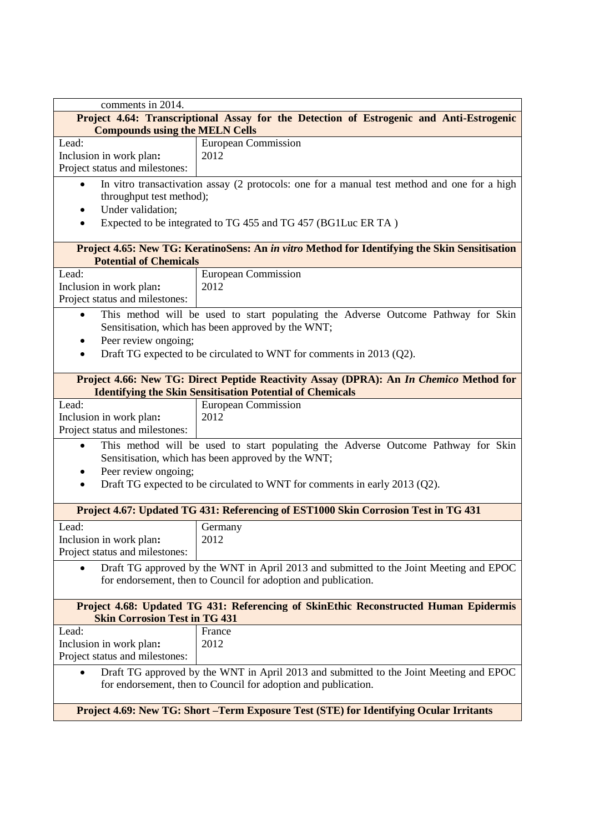| comments in 2014.                                                                                                                                                                                              |                                                                                               |  |
|----------------------------------------------------------------------------------------------------------------------------------------------------------------------------------------------------------------|-----------------------------------------------------------------------------------------------|--|
| Project 4.64: Transcriptional Assay for the Detection of Estrogenic and Anti-Estrogenic                                                                                                                        |                                                                                               |  |
| <b>Compounds using the MELN Cells</b>                                                                                                                                                                          |                                                                                               |  |
| Lead:                                                                                                                                                                                                          | <b>European Commission</b>                                                                    |  |
| Inclusion in work plan:                                                                                                                                                                                        | 2012                                                                                          |  |
| Project status and milestones:                                                                                                                                                                                 |                                                                                               |  |
| In vitro transactivation assay (2 protocols: one for a manual test method and one for a high<br>throughput test method);<br>Under validation;<br>Expected to be integrated to TG 455 and TG 457 (BG1Luc ER TA) |                                                                                               |  |
| <b>Potential of Chemicals</b>                                                                                                                                                                                  | Project 4.65: New TG: KeratinoSens: An in vitro Method for Identifying the Skin Sensitisation |  |
| Lead:                                                                                                                                                                                                          | <b>European Commission</b>                                                                    |  |
| Inclusion in work plan:                                                                                                                                                                                        | 2012                                                                                          |  |
| Project status and milestones:                                                                                                                                                                                 |                                                                                               |  |
|                                                                                                                                                                                                                | This method will be used to start populating the Adverse Outcome Pathway for Skin             |  |
|                                                                                                                                                                                                                | Sensitisation, which has been approved by the WNT;                                            |  |
| Peer review ongoing;                                                                                                                                                                                           |                                                                                               |  |
|                                                                                                                                                                                                                | Draft TG expected to be circulated to WNT for comments in 2013 (Q2).                          |  |
|                                                                                                                                                                                                                |                                                                                               |  |
|                                                                                                                                                                                                                | Project 4.66: New TG: Direct Peptide Reactivity Assay (DPRA): An In Chemico Method for        |  |
|                                                                                                                                                                                                                | <b>Identifying the Skin Sensitisation Potential of Chemicals</b>                              |  |
| Lead:                                                                                                                                                                                                          | <b>European Commission</b>                                                                    |  |
| Inclusion in work plan:                                                                                                                                                                                        | 2012                                                                                          |  |
| Project status and milestones:                                                                                                                                                                                 |                                                                                               |  |
|                                                                                                                                                                                                                |                                                                                               |  |
| This method will be used to start populating the Adverse Outcome Pathway for Skin<br>Sensitisation, which has been approved by the WNT;                                                                        |                                                                                               |  |
| Peer review ongoing;                                                                                                                                                                                           |                                                                                               |  |
|                                                                                                                                                                                                                |                                                                                               |  |
| Draft TG expected to be circulated to WNT for comments in early 2013 (Q2).                                                                                                                                     |                                                                                               |  |
| Project 4.67: Updated TG 431: Referencing of EST1000 Skin Corrosion Test in TG 431                                                                                                                             |                                                                                               |  |
| Lead:                                                                                                                                                                                                          |                                                                                               |  |
| Inclusion in work plan:                                                                                                                                                                                        | Germany<br>2012                                                                               |  |
| Project status and milestones:                                                                                                                                                                                 |                                                                                               |  |
|                                                                                                                                                                                                                |                                                                                               |  |
| Draft TG approved by the WNT in April 2013 and submitted to the Joint Meeting and EPOC                                                                                                                         |                                                                                               |  |
|                                                                                                                                                                                                                | for endorsement, then to Council for adoption and publication.                                |  |
|                                                                                                                                                                                                                |                                                                                               |  |
| Project 4.68: Updated TG 431: Referencing of SkinEthic Reconstructed Human Epidermis<br><b>Skin Corrosion Test in TG 431</b>                                                                                   |                                                                                               |  |
| Lead:                                                                                                                                                                                                          | France                                                                                        |  |
| Inclusion in work plan:                                                                                                                                                                                        | 2012                                                                                          |  |
| Project status and milestones:                                                                                                                                                                                 |                                                                                               |  |
|                                                                                                                                                                                                                | Draft TG approved by the WNT in April 2013 and submitted to the Joint Meeting and EPOC        |  |
| for endorsement, then to Council for adoption and publication.                                                                                                                                                 |                                                                                               |  |
|                                                                                                                                                                                                                |                                                                                               |  |
| Project 4.69: New TG: Short - Term Exposure Test (STE) for Identifying Ocular Irritants                                                                                                                        |                                                                                               |  |
|                                                                                                                                                                                                                |                                                                                               |  |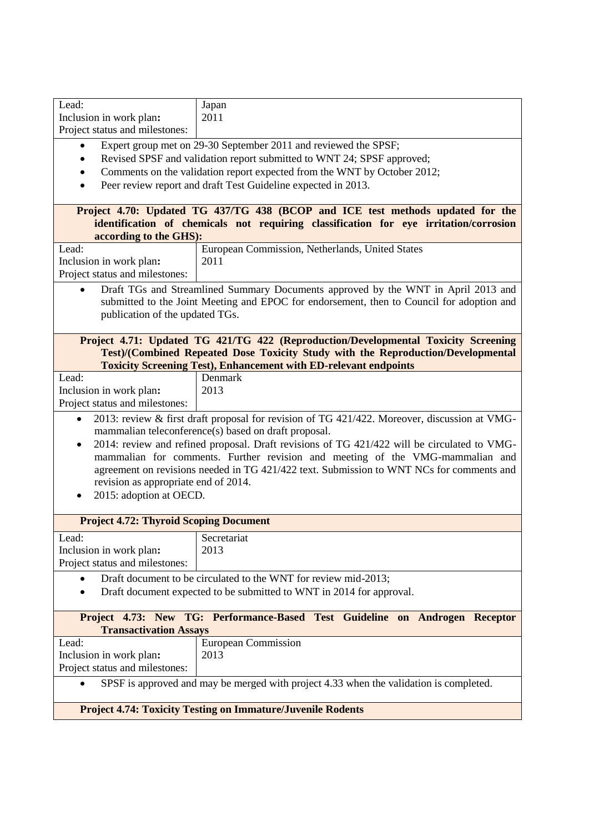| Lead:                                                                                                     | Japan                                                                                     |  |
|-----------------------------------------------------------------------------------------------------------|-------------------------------------------------------------------------------------------|--|
| Inclusion in work plan:                                                                                   | 2011                                                                                      |  |
| Project status and milestones:                                                                            |                                                                                           |  |
|                                                                                                           | Expert group met on 29-30 September 2011 and reviewed the SPSF;                           |  |
|                                                                                                           |                                                                                           |  |
|                                                                                                           | Revised SPSF and validation report submitted to WNT 24; SPSF approved;                    |  |
|                                                                                                           | Comments on the validation report expected from the WNT by October 2012;                  |  |
| $\bullet$                                                                                                 | Peer review report and draft Test Guideline expected in 2013.                             |  |
|                                                                                                           |                                                                                           |  |
|                                                                                                           | Project 4.70: Updated TG 437/TG 438 (BCOP and ICE test methods updated for the            |  |
|                                                                                                           | identification of chemicals not requiring classification for eye irritation/corrosion     |  |
| according to the GHS):                                                                                    |                                                                                           |  |
| Lead:                                                                                                     | European Commission, Netherlands, United States                                           |  |
| Inclusion in work plan:                                                                                   | 2011                                                                                      |  |
| Project status and milestones:                                                                            |                                                                                           |  |
|                                                                                                           |                                                                                           |  |
|                                                                                                           | Draft TGs and Streamlined Summary Documents approved by the WNT in April 2013 and         |  |
|                                                                                                           | submitted to the Joint Meeting and EPOC for endorsement, then to Council for adoption and |  |
| publication of the updated TGs.                                                                           |                                                                                           |  |
|                                                                                                           |                                                                                           |  |
|                                                                                                           | Project 4.71: Updated TG 421/TG 422 (Reproduction/Developmental Toxicity Screening        |  |
|                                                                                                           | Test)/(Combined Repeated Dose Toxicity Study with the Reproduction/Developmental          |  |
|                                                                                                           | <b>Toxicity Screening Test), Enhancement with ED-relevant endpoints</b>                   |  |
| Lead:                                                                                                     | Denmark                                                                                   |  |
| Inclusion in work plan:                                                                                   | 2013                                                                                      |  |
| Project status and milestones:                                                                            |                                                                                           |  |
|                                                                                                           |                                                                                           |  |
| 2013: review & first draft proposal for revision of TG 421/422. Moreover, discussion at VMG-<br>$\bullet$ |                                                                                           |  |
| mammalian teleconference(s) based on draft proposal.                                                      |                                                                                           |  |
| 2014: review and refined proposal. Draft revisions of TG 421/422 will be circulated to VMG-<br>$\bullet$  |                                                                                           |  |
| mammalian for comments. Further revision and meeting of the VMG-mammalian and                             |                                                                                           |  |
|                                                                                                           | agreement on revisions needed in TG 421/422 text. Submission to WNT NCs for comments and  |  |
| revision as appropriate end of 2014.                                                                      |                                                                                           |  |
| 2015: adoption at OECD.                                                                                   |                                                                                           |  |
|                                                                                                           |                                                                                           |  |
| <b>Project 4.72: Thyroid Scoping Document</b>                                                             |                                                                                           |  |
| Lead:                                                                                                     | Secretariat                                                                               |  |
| Inclusion in work plan:                                                                                   | 2013                                                                                      |  |
| Project status and milestones:                                                                            |                                                                                           |  |
|                                                                                                           |                                                                                           |  |
|                                                                                                           | Draft document to be circulated to the WNT for review mid-2013;                           |  |
|                                                                                                           | Draft document expected to be submitted to WNT in 2014 for approval.                      |  |
|                                                                                                           |                                                                                           |  |
|                                                                                                           | Project 4.73: New TG: Performance-Based Test Guideline on Androgen Receptor               |  |
| <b>Transactivation Assays</b>                                                                             |                                                                                           |  |
| Lead:                                                                                                     | <b>European Commission</b>                                                                |  |
| Inclusion in work plan:                                                                                   | 2013                                                                                      |  |
| Project status and milestones:                                                                            |                                                                                           |  |
|                                                                                                           |                                                                                           |  |
| SPSF is approved and may be merged with project 4.33 when the validation is completed.                    |                                                                                           |  |
| <b>Project 4.74: Toxicity Testing on Immature/Juvenile Rodents</b>                                        |                                                                                           |  |
|                                                                                                           |                                                                                           |  |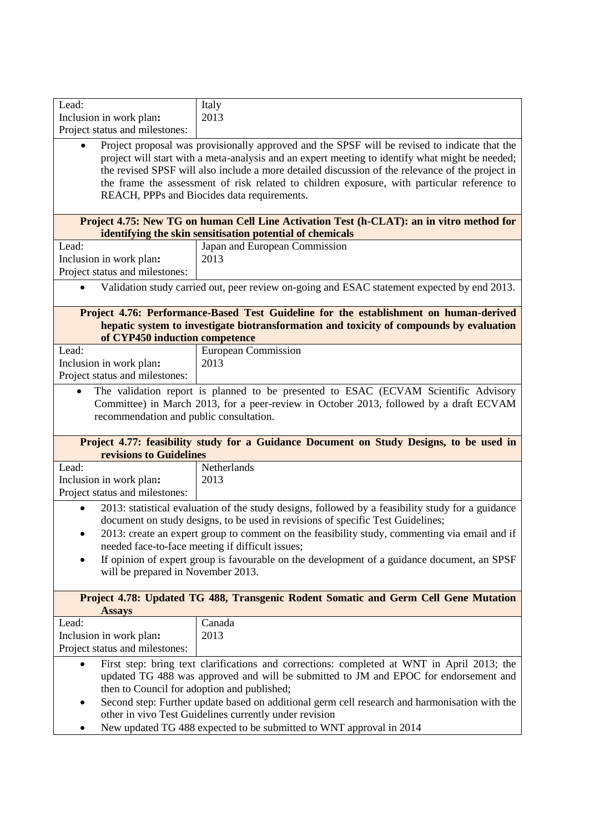| Lead:                                                                                                                                                   | Italy                                                                                             |  |
|---------------------------------------------------------------------------------------------------------------------------------------------------------|---------------------------------------------------------------------------------------------------|--|
| Inclusion in work plan:                                                                                                                                 | 2013                                                                                              |  |
| Project status and milestones:                                                                                                                          |                                                                                                   |  |
|                                                                                                                                                         | Project proposal was provisionally approved and the SPSF will be revised to indicate that the     |  |
|                                                                                                                                                         | project will start with a meta-analysis and an expert meeting to identify what might be needed;   |  |
|                                                                                                                                                         | the revised SPSF will also include a more detailed discussion of the relevance of the project in  |  |
|                                                                                                                                                         | the frame the assessment of risk related to children exposure, with particular reference to       |  |
|                                                                                                                                                         | REACH, PPPs and Biocides data requirements.                                                       |  |
|                                                                                                                                                         |                                                                                                   |  |
|                                                                                                                                                         | Project 4.75: New TG on human Cell Line Activation Test (h-CLAT): an in vitro method for          |  |
| Lead:                                                                                                                                                   | identifying the skin sensitisation potential of chemicals<br>Japan and European Commission        |  |
| Inclusion in work plan:                                                                                                                                 | 2013                                                                                              |  |
| Project status and milestones:                                                                                                                          |                                                                                                   |  |
|                                                                                                                                                         |                                                                                                   |  |
|                                                                                                                                                         | Validation study carried out, peer review on-going and ESAC statement expected by end 2013.       |  |
|                                                                                                                                                         | Project 4.76: Performance-Based Test Guideline for the establishment on human-derived             |  |
|                                                                                                                                                         | hepatic system to investigate biotransformation and toxicity of compounds by evaluation           |  |
| of CYP450 induction competence                                                                                                                          |                                                                                                   |  |
| Lead:                                                                                                                                                   | <b>European Commission</b>                                                                        |  |
| Inclusion in work plan:                                                                                                                                 | 2013                                                                                              |  |
| Project status and milestones:                                                                                                                          |                                                                                                   |  |
|                                                                                                                                                         | The validation report is planned to be presented to ESAC (ECVAM Scientific Advisory               |  |
|                                                                                                                                                         | Committee) in March 2013, for a peer-review in October 2013, followed by a draft ECVAM            |  |
| recommendation and public consultation.                                                                                                                 |                                                                                                   |  |
|                                                                                                                                                         |                                                                                                   |  |
|                                                                                                                                                         | Project 4.77: feasibility study for a Guidance Document on Study Designs, to be used in           |  |
| revisions to Guidelines                                                                                                                                 |                                                                                                   |  |
| Lead:                                                                                                                                                   | Netherlands                                                                                       |  |
| Inclusion in work plan:                                                                                                                                 | 2013                                                                                              |  |
| Project status and milestones:                                                                                                                          |                                                                                                   |  |
|                                                                                                                                                         | 2013: statistical evaluation of the study designs, followed by a feasibility study for a guidance |  |
|                                                                                                                                                         | document on study designs, to be used in revisions of specific Test Guidelines;                   |  |
|                                                                                                                                                         | 2013: create an expert group to comment on the feasibility study, commenting via email and if     |  |
|                                                                                                                                                         | needed face-to-face meeting if difficult issues;                                                  |  |
| $\bullet$                                                                                                                                               | If opinion of expert group is favourable on the development of a guidance document, an SPSF       |  |
| will be prepared in November 2013.                                                                                                                      |                                                                                                   |  |
|                                                                                                                                                         |                                                                                                   |  |
|                                                                                                                                                         | Project 4.78: Updated TG 488, Transgenic Rodent Somatic and Germ Cell Gene Mutation               |  |
| <b>Assays</b><br>Lead:                                                                                                                                  | Canada                                                                                            |  |
| Inclusion in work plan:                                                                                                                                 | 2013                                                                                              |  |
| Project status and milestones:                                                                                                                          |                                                                                                   |  |
|                                                                                                                                                         |                                                                                                   |  |
|                                                                                                                                                         | First step: bring text clarifications and corrections: completed at WNT in April 2013; the        |  |
| updated TG 488 was approved and will be submitted to JM and EPOC for endorsement and                                                                    |                                                                                                   |  |
| then to Council for adoption and published;                                                                                                             |                                                                                                   |  |
| Second step: Further update based on additional germ cell research and harmonisation with the<br>other in vivo Test Guidelines currently under revision |                                                                                                   |  |
| New updated TG 488 expected to be submitted to WNT approval in 2014                                                                                     |                                                                                                   |  |
|                                                                                                                                                         |                                                                                                   |  |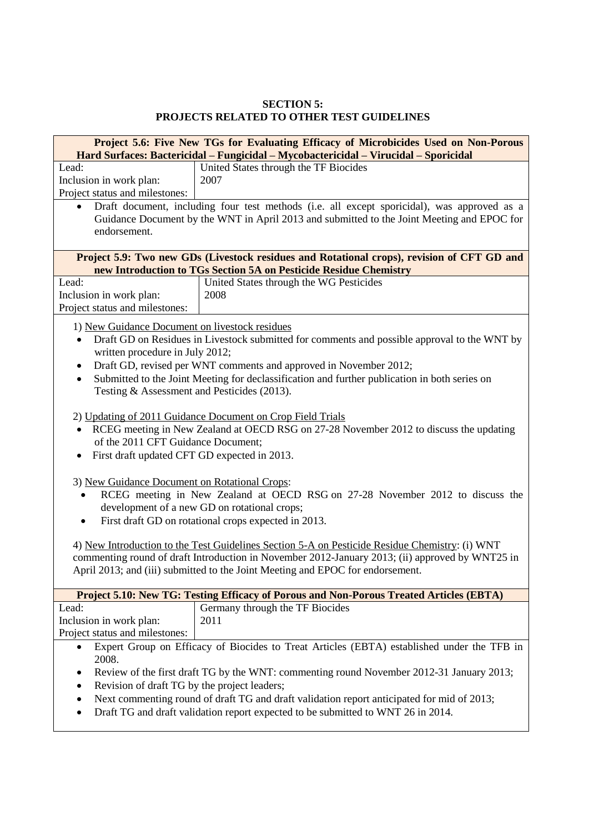## **SECTION 5: PROJECTS RELATED TO OTHER TEST GUIDELINES**

| Project 5.6: Five New TGs for Evaluating Efficacy of Microbicides Used on Non-Porous                                                                                                                                                                                                                                                                                                                                                                                                                                               |                                                                                                                                                                                           |  |
|------------------------------------------------------------------------------------------------------------------------------------------------------------------------------------------------------------------------------------------------------------------------------------------------------------------------------------------------------------------------------------------------------------------------------------------------------------------------------------------------------------------------------------|-------------------------------------------------------------------------------------------------------------------------------------------------------------------------------------------|--|
|                                                                                                                                                                                                                                                                                                                                                                                                                                                                                                                                    | Hard Surfaces: Bactericidal – Fungicidal – Mycobactericidal – Virucidal – Sporicidal                                                                                                      |  |
| Lead:                                                                                                                                                                                                                                                                                                                                                                                                                                                                                                                              | United States through the TF Biocides                                                                                                                                                     |  |
| Inclusion in work plan:                                                                                                                                                                                                                                                                                                                                                                                                                                                                                                            | 2007                                                                                                                                                                                      |  |
| Project status and milestones:                                                                                                                                                                                                                                                                                                                                                                                                                                                                                                     |                                                                                                                                                                                           |  |
| $\bullet$<br>endorsement.                                                                                                                                                                                                                                                                                                                                                                                                                                                                                                          | Draft document, including four test methods (i.e. all except sporicidal), was approved as a<br>Guidance Document by the WNT in April 2013 and submitted to the Joint Meeting and EPOC for |  |
|                                                                                                                                                                                                                                                                                                                                                                                                                                                                                                                                    | Project 5.9: Two new GDs (Livestock residues and Rotational crops), revision of CFT GD and<br>new Introduction to TGs Section 5A on Pesticide Residue Chemistry                           |  |
| Lead:                                                                                                                                                                                                                                                                                                                                                                                                                                                                                                                              | United States through the WG Pesticides                                                                                                                                                   |  |
| Inclusion in work plan:                                                                                                                                                                                                                                                                                                                                                                                                                                                                                                            | 2008                                                                                                                                                                                      |  |
| Project status and milestones:                                                                                                                                                                                                                                                                                                                                                                                                                                                                                                     |                                                                                                                                                                                           |  |
|                                                                                                                                                                                                                                                                                                                                                                                                                                                                                                                                    |                                                                                                                                                                                           |  |
| 1) New Guidance Document on livestock residues<br>Draft GD on Residues in Livestock submitted for comments and possible approval to the WNT by<br>written procedure in July 2012;<br>Draft GD, revised per WNT comments and approved in November 2012;<br>٠                                                                                                                                                                                                                                                                        |                                                                                                                                                                                           |  |
| Submitted to the Joint Meeting for declassification and further publication in both series on<br>٠<br>Testing & Assessment and Pesticides (2013).                                                                                                                                                                                                                                                                                                                                                                                  |                                                                                                                                                                                           |  |
| 2) Updating of 2011 Guidance Document on Crop Field Trials<br>RCEG meeting in New Zealand at OECD RSG on 27-28 November 2012 to discuss the updating<br>of the 2011 CFT Guidance Document;<br>First draft updated CFT GD expected in 2013.                                                                                                                                                                                                                                                                                         |                                                                                                                                                                                           |  |
| 3) New Guidance Document on Rotational Crops:<br>RCEG meeting in New Zealand at OECD RSG on 27-28 November 2012 to discuss the<br>development of a new GD on rotational crops;<br>First draft GD on rotational crops expected in 2013.<br>٠<br>4) New Introduction to the Test Guidelines Section 5-A on Pesticide Residue Chemistry: (i) WNT<br>commenting round of draft Introduction in November 2012-January 2013; (ii) approved by WNT25 in<br>April 2013; and (iii) submitted to the Joint Meeting and EPOC for endorsement. |                                                                                                                                                                                           |  |
|                                                                                                                                                                                                                                                                                                                                                                                                                                                                                                                                    | Project 5.10: New TG: Testing Efficacy of Porous and Non-Porous Treated Articles (EBTA)                                                                                                   |  |
| Lead:                                                                                                                                                                                                                                                                                                                                                                                                                                                                                                                              | Germany through the TF Biocides                                                                                                                                                           |  |
| Inclusion in work plan:<br>Project status and milestones:                                                                                                                                                                                                                                                                                                                                                                                                                                                                          | 2011                                                                                                                                                                                      |  |
| Expert Group on Efficacy of Biocides to Treat Articles (EBTA) established under the TFB in<br>$\bullet$<br>2008.<br>Review of the first draft TG by the WNT: commenting round November 2012-31 January 2013;<br>٠<br>Revision of draft TG by the project leaders;<br>٠<br>Next commenting round of draft TG and draft validation report anticipated for mid of 2013;<br>٠<br>Draft TG and draft validation report expected to be submitted to WNT 26 in 2014.<br>٠                                                                 |                                                                                                                                                                                           |  |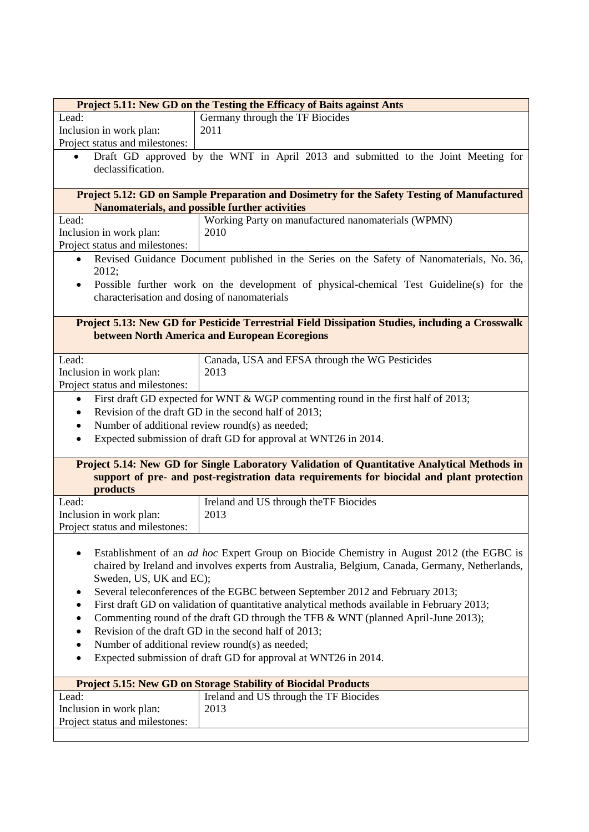| Project 5.11: New GD on the Testing the Efficacy of Baits against Ants                           |                                                                                                                                                                                          |  |
|--------------------------------------------------------------------------------------------------|------------------------------------------------------------------------------------------------------------------------------------------------------------------------------------------|--|
| Lead:                                                                                            | Germany through the TF Biocides                                                                                                                                                          |  |
| Inclusion in work plan:                                                                          | 2011                                                                                                                                                                                     |  |
| Project status and milestones:                                                                   |                                                                                                                                                                                          |  |
| $\bullet$                                                                                        | Draft GD approved by the WNT in April 2013 and submitted to the Joint Meeting for                                                                                                        |  |
| declassification.                                                                                |                                                                                                                                                                                          |  |
|                                                                                                  |                                                                                                                                                                                          |  |
|                                                                                                  | Project 5.12: GD on Sample Preparation and Dosimetry for the Safety Testing of Manufactured<br>Nanomaterials, and possible further activities                                            |  |
| Lead:                                                                                            | Working Party on manufactured nanomaterials (WPMN)                                                                                                                                       |  |
| Inclusion in work plan:                                                                          | 2010                                                                                                                                                                                     |  |
| Project status and milestones:                                                                   |                                                                                                                                                                                          |  |
| $\bullet$                                                                                        | Revised Guidance Document published in the Series on the Safety of Nanomaterials, No. 36,                                                                                                |  |
| 2012;                                                                                            |                                                                                                                                                                                          |  |
| ٠                                                                                                | Possible further work on the development of physical-chemical Test Guideline(s) for the                                                                                                  |  |
| characterisation and dosing of nanomaterials                                                     |                                                                                                                                                                                          |  |
|                                                                                                  |                                                                                                                                                                                          |  |
|                                                                                                  | Project 5.13: New GD for Pesticide Terrestrial Field Dissipation Studies, including a Crosswalk                                                                                          |  |
|                                                                                                  | between North America and European Ecoregions                                                                                                                                            |  |
|                                                                                                  |                                                                                                                                                                                          |  |
| Lead:                                                                                            | Canada, USA and EFSA through the WG Pesticides                                                                                                                                           |  |
| Inclusion in work plan:                                                                          | 2013                                                                                                                                                                                     |  |
| Project status and milestones:                                                                   |                                                                                                                                                                                          |  |
| $\bullet$                                                                                        | First draft GD expected for WNT & WGP commenting round in the first half of 2013;                                                                                                        |  |
| $\bullet$                                                                                        | Revision of the draft GD in the second half of 2013;                                                                                                                                     |  |
| $\bullet$                                                                                        | Number of additional review round(s) as needed;                                                                                                                                          |  |
| $\bullet$                                                                                        | Expected submission of draft GD for approval at WNT26 in 2014.                                                                                                                           |  |
|                                                                                                  |                                                                                                                                                                                          |  |
|                                                                                                  | Project 5.14: New GD for Single Laboratory Validation of Quantitative Analytical Methods in<br>support of pre- and post-registration data requirements for biocidal and plant protection |  |
| products                                                                                         |                                                                                                                                                                                          |  |
| Lead:                                                                                            | Ireland and US through the TF Biocides                                                                                                                                                   |  |
| Inclusion in work plan:                                                                          | 2013                                                                                                                                                                                     |  |
| Project status and milestones:                                                                   |                                                                                                                                                                                          |  |
|                                                                                                  |                                                                                                                                                                                          |  |
|                                                                                                  | Establishment of an <i>ad hoc</i> Expert Group on Biocide Chemistry in August 2012 (the EGBC is                                                                                          |  |
| chaired by Ireland and involves experts from Australia, Belgium, Canada, Germany, Netherlands,   |                                                                                                                                                                                          |  |
| Sweden, US, UK and EC);                                                                          |                                                                                                                                                                                          |  |
| Several teleconferences of the EGBC between September 2012 and February 2013;<br>٠               |                                                                                                                                                                                          |  |
| First draft GD on validation of quantitative analytical methods available in February 2013;<br>٠ |                                                                                                                                                                                          |  |
| Commenting round of the draft GD through the TFB & WNT (planned April-June 2013);<br>٠           |                                                                                                                                                                                          |  |
| Revision of the draft GD in the second half of 2013;<br>٠                                        |                                                                                                                                                                                          |  |
| Number of additional review round(s) as needed;<br>$\bullet$                                     |                                                                                                                                                                                          |  |
| Expected submission of draft GD for approval at WNT26 in 2014.<br>$\bullet$                      |                                                                                                                                                                                          |  |
|                                                                                                  |                                                                                                                                                                                          |  |
|                                                                                                  | <b>Project 5.15: New GD on Storage Stability of Biocidal Products</b>                                                                                                                    |  |
| Lead:                                                                                            | Ireland and US through the TF Biocides                                                                                                                                                   |  |
| Inclusion in work plan:                                                                          | 2013                                                                                                                                                                                     |  |
| Project status and milestones:                                                                   |                                                                                                                                                                                          |  |
|                                                                                                  |                                                                                                                                                                                          |  |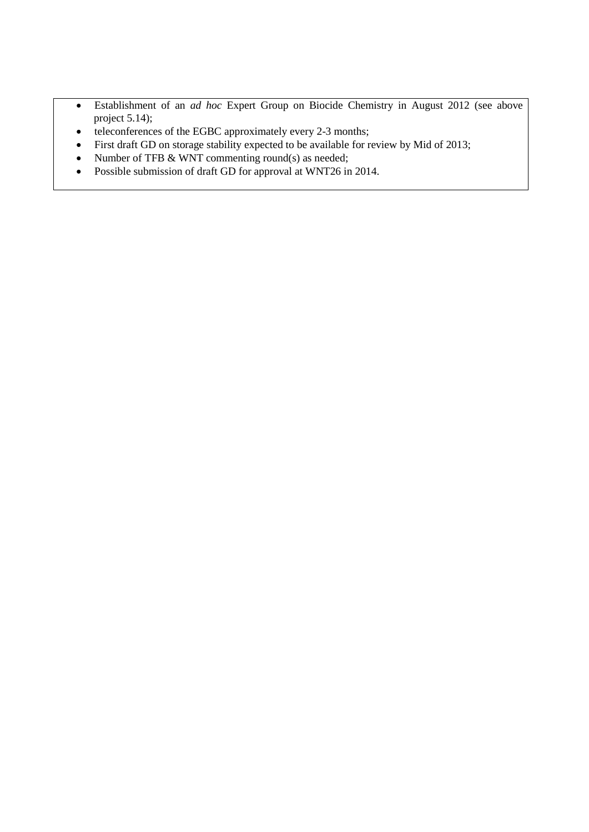- Establishment of an *ad hoc* Expert Group on Biocide Chemistry in August 2012 (see above project 5.14);
- teleconferences of the EGBC approximately every 2-3 months;
- First draft GD on storage stability expected to be available for review by Mid of 2013;
- Number of TFB & WNT commenting round(s) as needed;
- Possible submission of draft GD for approval at WNT26 in 2014.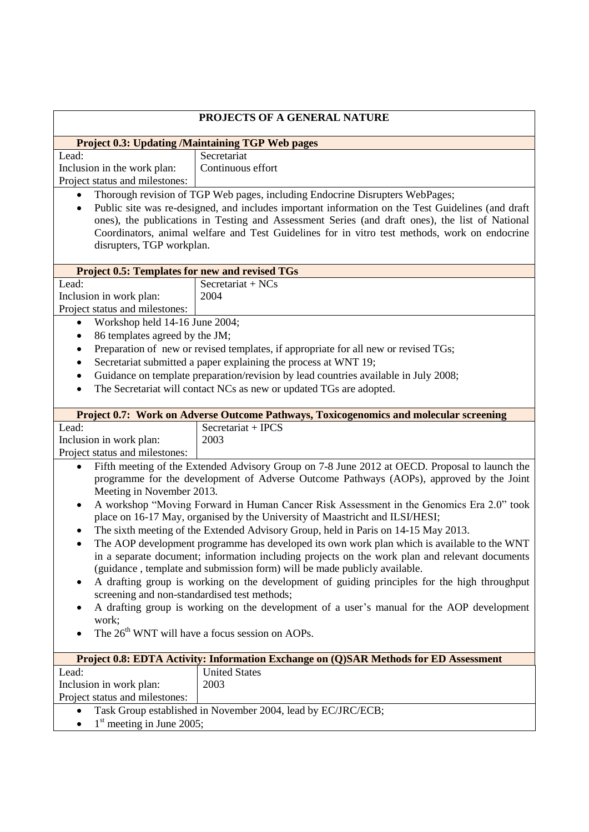| PROJECTS OF A GENERAL NATURE                                                                                                                                                                               |                                                                                                   |  |
|------------------------------------------------------------------------------------------------------------------------------------------------------------------------------------------------------------|---------------------------------------------------------------------------------------------------|--|
|                                                                                                                                                                                                            | <b>Project 0.3: Updating /Maintaining TGP Web pages</b>                                           |  |
| Lead:                                                                                                                                                                                                      | Secretariat                                                                                       |  |
| Inclusion in the work plan:                                                                                                                                                                                | Continuous effort                                                                                 |  |
| Project status and milestones:                                                                                                                                                                             |                                                                                                   |  |
| $\bullet$                                                                                                                                                                                                  | Thorough revision of TGP Web pages, including Endocrine Disrupters WebPages;                      |  |
| $\bullet$                                                                                                                                                                                                  | Public site was re-designed, and includes important information on the Test Guidelines (and draft |  |
| ones), the publications in Testing and Assessment Series (and draft ones), the list of National                                                                                                            |                                                                                                   |  |
|                                                                                                                                                                                                            | Coordinators, animal welfare and Test Guidelines for in vitro test methods, work on endocrine     |  |
| disrupters, TGP workplan.                                                                                                                                                                                  |                                                                                                   |  |
| <b>Project 0.5: Templates for new and revised TGs</b>                                                                                                                                                      |                                                                                                   |  |
| Lead:                                                                                                                                                                                                      | Secretariat + NCs                                                                                 |  |
| Inclusion in work plan:                                                                                                                                                                                    | 2004                                                                                              |  |
| Project status and milestones:                                                                                                                                                                             |                                                                                                   |  |
| Workshop held 14-16 June 2004;                                                                                                                                                                             |                                                                                                   |  |
| 86 templates agreed by the JM;<br>$\bullet$                                                                                                                                                                |                                                                                                   |  |
| $\bullet$                                                                                                                                                                                                  | Preparation of new or revised templates, if appropriate for all new or revised TGs;               |  |
| ٠                                                                                                                                                                                                          | Secretariat submitted a paper explaining the process at WNT 19;                                   |  |
| $\bullet$                                                                                                                                                                                                  | Guidance on template preparation/revision by lead countries available in July 2008;               |  |
| $\bullet$                                                                                                                                                                                                  | The Secretariat will contact NCs as new or updated TGs are adopted.                               |  |
|                                                                                                                                                                                                            |                                                                                                   |  |
|                                                                                                                                                                                                            | Project 0.7: Work on Adverse Outcome Pathways, Toxicogenomics and molecular screening             |  |
| Lead:                                                                                                                                                                                                      | Secretariat + IPCS                                                                                |  |
| Inclusion in work plan:                                                                                                                                                                                    | 2003                                                                                              |  |
| Project status and milestones:                                                                                                                                                                             |                                                                                                   |  |
| $\bullet$                                                                                                                                                                                                  | Fifth meeting of the Extended Advisory Group on 7-8 June 2012 at OECD. Proposal to launch the     |  |
| programme for the development of Adverse Outcome Pathways (AOPs), approved by the Joint                                                                                                                    |                                                                                                   |  |
| Meeting in November 2013.                                                                                                                                                                                  |                                                                                                   |  |
| A workshop "Moving Forward in Human Cancer Risk Assessment in the Genomics Era 2.0" took<br>place on 16-17 May, organised by the University of Maastricht and ILSI/HESI;                                   |                                                                                                   |  |
|                                                                                                                                                                                                            |                                                                                                   |  |
| The sixth meeting of the Extended Advisory Group, held in Paris on 14-15 May 2013.                                                                                                                         |                                                                                                   |  |
| The AOP development programme has developed its own work plan which is available to the WNT<br>$\bullet$<br>in a separate document; information including projects on the work plan and relevant documents |                                                                                                   |  |
| (guidance, template and submission form) will be made publicly available.                                                                                                                                  |                                                                                                   |  |
| A drafting group is working on the development of guiding principles for the high throughput                                                                                                               |                                                                                                   |  |
| screening and non-standardised test methods;                                                                                                                                                               |                                                                                                   |  |
| A drafting group is working on the development of a user's manual for the AOP development                                                                                                                  |                                                                                                   |  |
| work;                                                                                                                                                                                                      |                                                                                                   |  |
| The 26 <sup>th</sup> WNT will have a focus session on AOPs.                                                                                                                                                |                                                                                                   |  |
|                                                                                                                                                                                                            |                                                                                                   |  |
| Project 0.8: EDTA Activity: Information Exchange on (Q)SAR Methods for ED Assessment                                                                                                                       |                                                                                                   |  |
| Lead:                                                                                                                                                                                                      | <b>United States</b>                                                                              |  |
| Inclusion in work plan:                                                                                                                                                                                    | 2003                                                                                              |  |
| Project status and milestones:                                                                                                                                                                             |                                                                                                   |  |
|                                                                                                                                                                                                            | Task Group established in November 2004, lead by EC/JRC/ECB;                                      |  |
| $1st$ meeting in June 2005;                                                                                                                                                                                |                                                                                                   |  |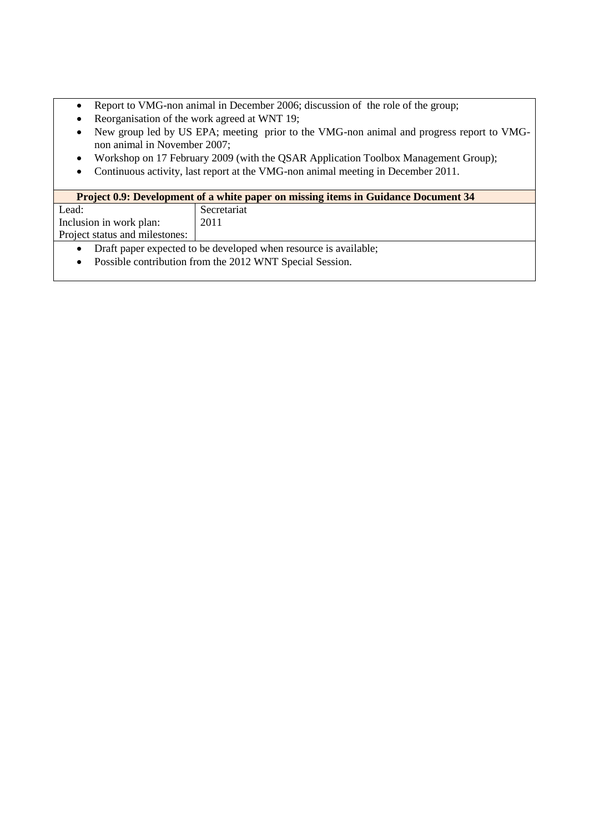- Report to VMG-non animal in December 2006; discussion of the role of the group;
- Reorganisation of the work agreed at WNT 19;
- New group led by US EPA; meeting prior to the VMG-non animal and progress report to VMGnon animal in November 2007;
- Workshop on 17 February 2009 (with the QSAR Application Toolbox Management Group);
- Continuous activity, last report at the VMG-non animal meeting in December 2011.

| <b>Project 0.9: Development of a white paper on missing items in Guidance Document 34</b> |             |
|-------------------------------------------------------------------------------------------|-------------|
| Lead:                                                                                     | Secretariat |
| Inclusion in work plan:                                                                   | 2011        |
| Project status and milestones:                                                            |             |
| Draft paper expected to be developed when resource is available;<br>$\bullet$             |             |

• Possible contribution from the 2012 WNT Special Session.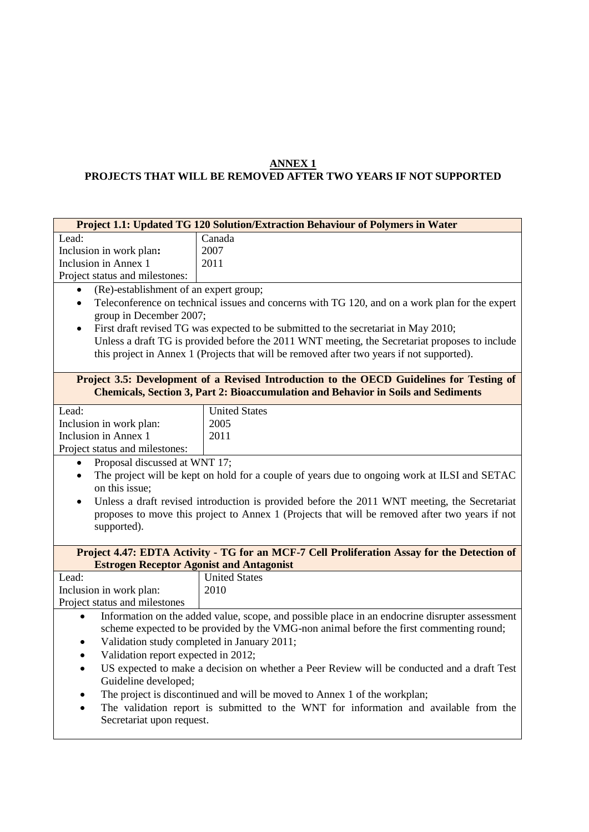#### **ANNEX 1**

### **PROJECTS THAT WILL BE REMOVED AFTER TWO YEARS IF NOT SUPPORTED**

| Project 1.1: Updated TG 120 Solution/Extraction Behaviour of Polymers in Water                                                                                                                              |                                                                                           |  |
|-------------------------------------------------------------------------------------------------------------------------------------------------------------------------------------------------------------|-------------------------------------------------------------------------------------------|--|
| Lead:                                                                                                                                                                                                       | Canada                                                                                    |  |
| Inclusion in work plan:                                                                                                                                                                                     | 2007                                                                                      |  |
| Inclusion in Annex 1                                                                                                                                                                                        | 2011                                                                                      |  |
| Project status and milestones:                                                                                                                                                                              |                                                                                           |  |
| (Re)-establishment of an expert group;<br>$\bullet$                                                                                                                                                         |                                                                                           |  |
| Teleconference on technical issues and concerns with TG 120, and on a work plan for the expert<br>$\bullet$<br>group in December 2007;                                                                      |                                                                                           |  |
| First draft revised TG was expected to be submitted to the secretariat in May 2010;<br>$\bullet$                                                                                                            |                                                                                           |  |
| Unless a draft TG is provided before the 2011 WNT meeting, the Secretariat proposes to include                                                                                                              |                                                                                           |  |
|                                                                                                                                                                                                             | this project in Annex 1 (Projects that will be removed after two years if not supported). |  |
| Project 3.5: Development of a Revised Introduction to the OECD Guidelines for Testing of<br><b>Chemicals, Section 3, Part 2: Bioaccumulation and Behavior in Soils and Sediments</b>                        |                                                                                           |  |
| Lead:                                                                                                                                                                                                       | <b>United States</b>                                                                      |  |
| Inclusion in work plan:                                                                                                                                                                                     | 2005                                                                                      |  |
| Inclusion in Annex 1                                                                                                                                                                                        | 2011                                                                                      |  |
| Project status and milestones:                                                                                                                                                                              |                                                                                           |  |
| Proposal discussed at WNT 17;<br>$\bullet$                                                                                                                                                                  |                                                                                           |  |
| The project will be kept on hold for a couple of years due to ongoing work at ILSI and SETAC<br>$\bullet$<br>on this issue;                                                                                 |                                                                                           |  |
| Unless a draft revised introduction is provided before the 2011 WNT meeting, the Secretariat<br>$\bullet$<br>proposes to move this project to Annex 1 (Projects that will be removed after two years if not |                                                                                           |  |
| supported).                                                                                                                                                                                                 |                                                                                           |  |
| Project 4.47: EDTA Activity - TG for an MCF-7 Cell Proliferation Assay for the Detection of                                                                                                                 |                                                                                           |  |
| <b>Estrogen Receptor Agonist and Antagonist</b>                                                                                                                                                             |                                                                                           |  |
| Lead:                                                                                                                                                                                                       | <b>United States</b>                                                                      |  |
| Inclusion in work plan:                                                                                                                                                                                     | 2010                                                                                      |  |
| Project status and milestones                                                                                                                                                                               |                                                                                           |  |
| Information on the added value, scope, and possible place in an endocrine disrupter assessment                                                                                                              |                                                                                           |  |
| scheme expected to be provided by the VMG-non animal before the first commenting round;                                                                                                                     |                                                                                           |  |
| Validation study completed in January 2011;                                                                                                                                                                 |                                                                                           |  |
| Validation report expected in 2012;<br>$\bullet$                                                                                                                                                            |                                                                                           |  |
| US expected to make a decision on whether a Peer Review will be conducted and a draft Test<br>$\bullet$                                                                                                     |                                                                                           |  |
| Guideline developed;                                                                                                                                                                                        |                                                                                           |  |
| The project is discontinued and will be moved to Annex 1 of the workplan;<br>$\bullet$                                                                                                                      |                                                                                           |  |
| The validation report is submitted to the WNT for information and available from the<br>$\bullet$                                                                                                           |                                                                                           |  |
| Secretariat upon request.                                                                                                                                                                                   |                                                                                           |  |